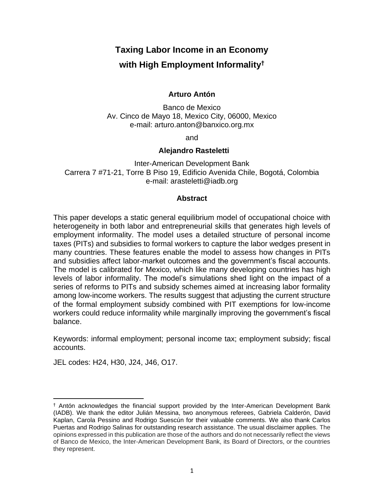# **Taxing Labor Income in an Economy**

# **with High Employment Informality†**

# **Arturo Antón**

Banco de Mexico Av. Cinco de Mayo 18, Mexico City, 06000, Mexico e-mail: arturo.anton@banxico.org.mx

and

## **Alejandro Rasteletti**

Inter-American Development Bank Carrera 7 #71-21, Torre B Piso 19, Edificio Avenida Chile, Bogotá, Colombia e-mail: arasteletti@iadb.org

## **Abstract**

This paper develops a static general equilibrium model of occupational choice with heterogeneity in both labor and entrepreneurial skills that generates high levels of employment informality. The model uses a detailed structure of personal income taxes (PITs) and subsidies to formal workers to capture the labor wedges present in many countries. These features enable the model to assess how changes in PITs and subsidies affect labor-market outcomes and the government's fiscal accounts. The model is calibrated for Mexico, which like many developing countries has high levels of labor informality. The model's simulations shed light on the impact of a series of reforms to PITs and subsidy schemes aimed at increasing labor formality among low-income workers. The results suggest that adjusting the current structure of the formal employment subsidy combined with PIT exemptions for low-income workers could reduce informality while marginally improving the government's fiscal balance.

Keywords: informal employment; personal income tax; employment subsidy; fiscal accounts.

JEL codes: H24, H30, J24, J46, O17.

<sup>†</sup> Antón acknowledges the financial support provided by the Inter-American Development Bank (IADB). We thank the editor Julián Messina, two anonymous referees, Gabriela Calderón, David Kaplan, Carola Pessino and Rodrigo Suescún for their valuable comments. We also thank Carlos Puertas and Rodrigo Salinas for outstanding research assistance. The usual disclaimer applies. The opinions expressed in this publication are those of the authors and do not necessarily reflect the views of Banco de Mexico, the Inter-American Development Bank, its Board of Directors, or the countries they represent.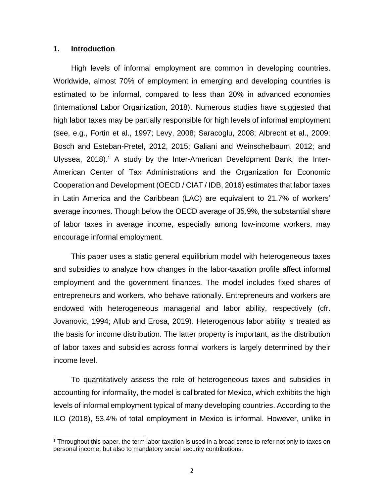#### **1. Introduction**

High levels of informal employment are common in developing countries. Worldwide, almost 70% of employment in emerging and developing countries is estimated to be informal, compared to less than 20% in advanced economies (International Labor Organization, 2018). Numerous studies have suggested that high labor taxes may be partially responsible for high levels of informal employment (see, e.g., Fortin et al., 1997; Levy, 2008; Saracoglu, 2008; Albrecht et al., 2009; Bosch and Esteban-Pretel, 2012, 2015; Galiani and Weinschelbaum, 2012; and Ulyssea, 2018).<sup>1</sup> A study by the Inter-American Development Bank, the Inter-American Center of Tax Administrations and the Organization for Economic Cooperation and Development (OECD / CIAT / IDB, 2016) estimates that labor taxes in Latin America and the Caribbean (LAC) are equivalent to 21.7% of workers' average incomes. Though below the OECD average of 35.9%, the substantial share of labor taxes in average income, especially among low-income workers, may encourage informal employment.

This paper uses a static general equilibrium model with heterogeneous taxes and subsidies to analyze how changes in the labor-taxation profile affect informal employment and the government finances. The model includes fixed shares of entrepreneurs and workers, who behave rationally. Entrepreneurs and workers are endowed with heterogeneous managerial and labor ability, respectively (cfr. Jovanovic, 1994; Allub and Erosa, 2019). Heterogenous labor ability is treated as the basis for income distribution. The latter property is important, as the distribution of labor taxes and subsidies across formal workers is largely determined by their income level.

To quantitatively assess the role of heterogeneous taxes and subsidies in accounting for informality, the model is calibrated for Mexico, which exhibits the high levels of informal employment typical of many developing countries. According to the ILO (2018), 53.4% of total employment in Mexico is informal. However, unlike in

<sup>1</sup> Throughout this paper, the term labor taxation is used in a broad sense to refer not only to taxes on personal income, but also to mandatory social security contributions.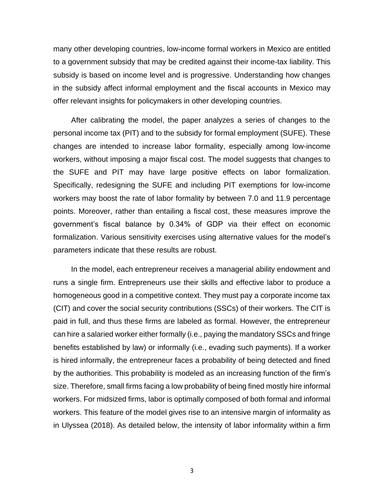many other developing countries, low-income formal workers in Mexico are entitled to a government subsidy that may be credited against their income-tax liability. This subsidy is based on income level and is progressive. Understanding how changes in the subsidy affect informal employment and the fiscal accounts in Mexico may offer relevant insights for policymakers in other developing countries.

After calibrating the model, the paper analyzes a series of changes to the personal income tax (PIT) and to the subsidy for formal employment (SUFE). These changes are intended to increase labor formality, especially among low-income workers, without imposing a major fiscal cost. The model suggests that changes to the SUFE and PIT may have large positive effects on labor formalization. Specifically, redesigning the SUFE and including PIT exemptions for low-income workers may boost the rate of labor formality by between 7.0 and 11.9 percentage points. Moreover, rather than entailing a fiscal cost, these measures improve the government's fiscal balance by 0.34% of GDP via their effect on economic formalization. Various sensitivity exercises using alternative values for the model's parameters indicate that these results are robust.

In the model, each entrepreneur receives a managerial ability endowment and runs a single firm. Entrepreneurs use their skills and effective labor to produce a homogeneous good in a competitive context. They must pay a corporate income tax (CIT) and cover the social security contributions (SSCs) of their workers. The CIT is paid in full, and thus these firms are labeled as formal. However, the entrepreneur can hire a salaried worker either formally (i.e., paying the mandatory SSCs and fringe benefits established by law) or informally (i.e., evading such payments). If a worker is hired informally, the entrepreneur faces a probability of being detected and fined by the authorities. This probability is modeled as an increasing function of the firm's size. Therefore, small firms facing a low probability of being fined mostly hire informal workers. For midsized firms, labor is optimally composed of both formal and informal workers. This feature of the model gives rise to an intensive margin of informality as in Ulyssea (2018). As detailed below, the intensity of labor informality within a firm

3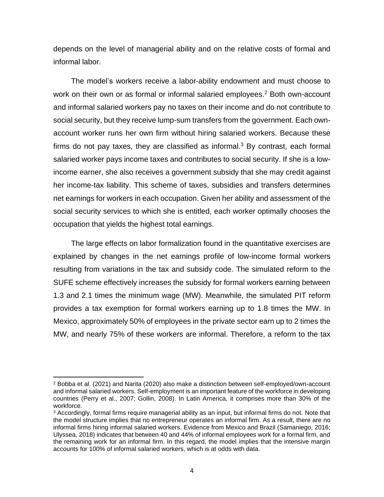depends on the level of managerial ability and on the relative costs of formal and informal labor.

The model's workers receive a labor-ability endowment and must choose to work on their own or as formal or informal salaried employees.<sup>2</sup> Both own-account and informal salaried workers pay no taxes on their income and do not contribute to social security, but they receive lump-sum transfers from the government. Each ownaccount worker runs her own firm without hiring salaried workers. Because these firms do not pay taxes, they are classified as informal. $3$  By contrast, each formal salaried worker pays income taxes and contributes to social security. If she is a lowincome earner, she also receives a government subsidy that she may credit against her income-tax liability. This scheme of taxes, subsidies and transfers determines net earnings for workers in each occupation. Given her ability and assessment of the social security services to which she is entitled, each worker optimally chooses the occupation that yields the highest total earnings.

The large effects on labor formalization found in the quantitative exercises are explained by changes in the net earnings profile of low-income formal workers resulting from variations in the tax and subsidy code. The simulated reform to the SUFE scheme effectively increases the subsidy for formal workers earning between 1.3 and 2.1 times the minimum wage (MW). Meanwhile, the simulated PIT reform provides a tax exemption for formal workers earning up to 1.8 times the MW. In Mexico, approximately 50% of employees in the private sector earn up to 2 times the MW, and nearly 75% of these workers are informal. Therefore, a reform to the tax

<sup>2</sup> Bobba et al. (2021) and Narita (2020) also make a distinction between self-employed/own-account and informal salaried workers. Self-employment is an important feature of the workforce in developing countries (Perry et al., 2007; Gollin, 2008). In Latin America, it comprises more than 30% of the workforce.

<sup>3</sup> Accordingly, formal firms require managerial ability as an input, but informal firms do not. Note that the model structure implies that no entrepreneur operates an informal firm. As a result, there are no informal firms hiring informal salaried workers. Evidence from Mexico and Brazil (Samaniego, 2016; Ulyssea, 2018) indicates that between 40 and 44% of informal employees work for a formal firm, and the remaining work for an informal firm. In this regard, the model implies that the intensive margin accounts for 100% of informal salaried workers, which is at odds with data.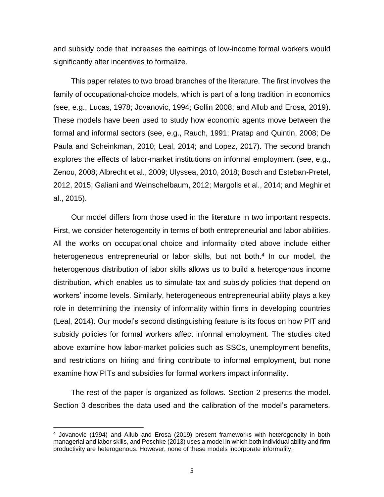and subsidy code that increases the earnings of low-income formal workers would significantly alter incentives to formalize.

This paper relates to two broad branches of the literature. The first involves the family of occupational-choice models, which is part of a long tradition in economics (see, e.g., Lucas, 1978; Jovanovic, 1994; Gollin 2008; and Allub and Erosa, 2019). These models have been used to study how economic agents move between the formal and informal sectors (see, e.g., Rauch, 1991; Pratap and Quintin, 2008; De Paula and Scheinkman, 2010; Leal, 2014; and Lopez, 2017). The second branch explores the effects of labor-market institutions on informal employment (see, e.g., Zenou, 2008; Albrecht et al., 2009; Ulyssea, 2010, 2018; Bosch and Esteban-Pretel, 2012, 2015; Galiani and Weinschelbaum, 2012; Margolis et al., 2014; and Meghir et al., 2015).

Our model differs from those used in the literature in two important respects. First, we consider heterogeneity in terms of both entrepreneurial and labor abilities. All the works on occupational choice and informality cited above include either heterogeneous entrepreneurial or labor skills, but not both.<sup>4</sup> In our model, the heterogenous distribution of labor skills allows us to build a heterogenous income distribution, which enables us to simulate tax and subsidy policies that depend on workers' income levels. Similarly, heterogeneous entrepreneurial ability plays a key role in determining the intensity of informality within firms in developing countries (Leal, 2014). Our model's second distinguishing feature is its focus on how PIT and subsidy policies for formal workers affect informal employment. The studies cited above examine how labor-market policies such as SSCs, unemployment benefits, and restrictions on hiring and firing contribute to informal employment, but none examine how PITs and subsidies for formal workers impact informality.

The rest of the paper is organized as follows. Section 2 presents the model. Section 3 describes the data used and the calibration of the model's parameters.

<sup>4</sup> Jovanovic (1994) and Allub and Erosa (2019) present frameworks with heterogeneity in both managerial and labor skills, and Poschke (2013) uses a model in which both individual ability and firm productivity are heterogenous. However, none of these models incorporate informality.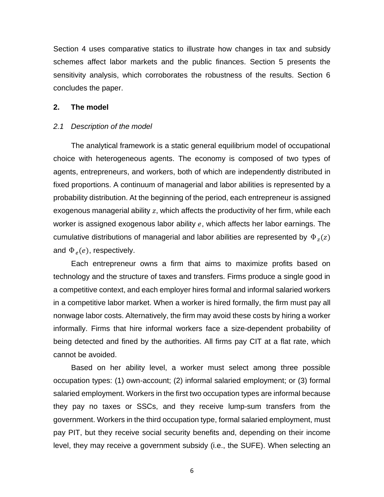Section 4 uses comparative statics to illustrate how changes in tax and subsidy schemes affect labor markets and the public finances. Section 5 presents the sensitivity analysis, which corroborates the robustness of the results. Section 6 concludes the paper.

## **2. The model**

#### *2.1 Description of the model*

The analytical framework is a static general equilibrium model of occupational choice with heterogeneous agents. The economy is composed of two types of agents, entrepreneurs, and workers, both of which are independently distributed in fixed proportions. A continuum of managerial and labor abilities is represented by a probability distribution. At the beginning of the period, each entrepreneur is assigned exogenous managerial ability  $z$ , which affects the productivity of her firm, while each worker is assigned exogenous labor ability  $e$ , which affects her labor earnings. The cumulative distributions of managerial and labor abilities are represented by  $\Phi_z(z)$ and  $\Phi_e(e)$ , respectively.

Each entrepreneur owns a firm that aims to maximize profits based on technology and the structure of taxes and transfers. Firms produce a single good in a competitive context, and each employer hires formal and informal salaried workers in a competitive labor market. When a worker is hired formally, the firm must pay all nonwage labor costs. Alternatively, the firm may avoid these costs by hiring a worker informally. Firms that hire informal workers face a size-dependent probability of being detected and fined by the authorities. All firms pay CIT at a flat rate, which cannot be avoided.

Based on her ability level, a worker must select among three possible occupation types: (1) own-account; (2) informal salaried employment; or (3) formal salaried employment. Workers in the first two occupation types are informal because they pay no taxes or SSCs, and they receive lump-sum transfers from the government. Workers in the third occupation type, formal salaried employment, must pay PIT, but they receive social security benefits and, depending on their income level, they may receive a government subsidy (i.e., the SUFE). When selecting an

6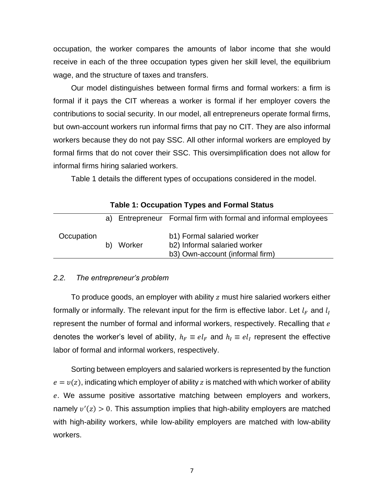occupation, the worker compares the amounts of labor income that she would receive in each of the three occupation types given her skill level, the equilibrium wage, and the structure of taxes and transfers.

Our model distinguishes between formal firms and formal workers: a firm is formal if it pays the CIT whereas a worker is formal if her employer covers the contributions to social security. In our model, all entrepreneurs operate formal firms, but own-account workers run informal firms that pay no CIT. They are also informal workers because they do not pay SSC. All other informal workers are employed by formal firms that do not cover their SSC. This oversimplification does not allow for informal firms hiring salaried workers.

Table 1 details the different types of occupations considered in the model.

|            | rapic 1. Occupation Types and Formal Oldius |        |                                                                                               |  |  |  |  |  |
|------------|---------------------------------------------|--------|-----------------------------------------------------------------------------------------------|--|--|--|--|--|
|            |                                             |        | a) Entrepreneur Formal firm with formal and informal employees                                |  |  |  |  |  |
| Occupation | b)                                          | Worker | b1) Formal salaried worker<br>b2) Informal salaried worker<br>b3) Own-account (informal firm) |  |  |  |  |  |

# **Table 1: Occupation Types and Formal Status**

## *2.2. The entrepreneur's problem*

To produce goods, an employer with ability z must hire salaried workers either formally or informally. The relevant input for the firm is effective labor. Let  $l_F$  and  $l_I$ represent the number of formal and informal workers, respectively. Recalling that e denotes the worker's level of ability,  $h_F \equiv el_F$  and  $h_I \equiv el_I$  represent the effective labor of formal and informal workers, respectively.

Sorting between employers and salaried workers is represented by the function  $e = v(z)$ , indicating which employer of ability z is matched with which worker of ability . We assume positive assortative matching between employers and workers, namely  $v'(z) > 0$ . This assumption implies that high-ability employers are matched with high-ability workers, while low-ability employers are matched with low-ability workers.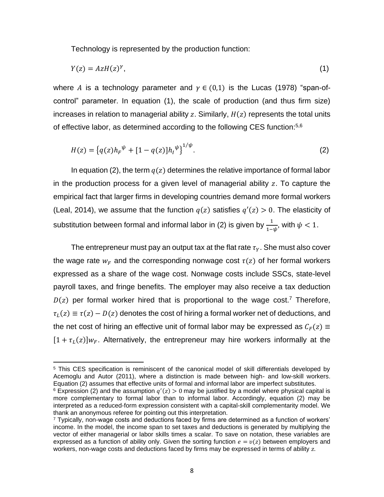Technology is represented by the production function:

$$
Y(z) = AzH(z)^{\gamma},\tag{1}
$$

where A is a technology parameter and  $\gamma \in (0,1)$  is the Lucas (1978) "span-ofcontrol" parameter. In equation (1), the scale of production (and thus firm size) increases in relation to managerial ability z. Similarly,  $H(z)$  represents the total units of effective labor, as determined according to the following CES function:<sup>5,6</sup>

$$
H(z) = \{q(z)h_F^{\psi} + [1 - q(z)]h_I^{\psi}\}^{1/\psi}.
$$
 (2)

In equation (2), the term  $q(z)$  determines the relative importance of formal labor in the production process for a given level of managerial ability  $z$ . To capture the empirical fact that larger firms in developing countries demand more formal workers (Leal, 2014), we assume that the function  $q(z)$  satisfies  $q'(z) > 0$ . The elasticity of substitution between formal and informal labor in (2) is given by  $\frac{1}{1-\psi}$ , with  $\psi < 1$ .

The entrepreneur must pay an output tax at the flat rate  $\tau_Y$ . She must also cover the wage rate  $w_F$  and the corresponding nonwage cost  $\tau(z)$  of her formal workers expressed as a share of the wage cost. Nonwage costs include SSCs, state-level payroll taxes, and fringe benefits. The employer may also receive a tax deduction  $D(z)$  per formal worker hired that is proportional to the wage cost.<sup>7</sup> Therefore,  $\tau_L(z) \equiv \tau(z) - D(z)$  denotes the cost of hiring a formal worker net of deductions, and the net cost of hiring an effective unit of formal labor may be expressed as  $C_F(z) \equiv$  $[1 + \tau_L(z)]w_F$ . Alternatively, the entrepreneur may hire workers informally at the

<sup>5</sup> This CES specification is reminiscent of the canonical model of skill differentials developed by Acemoglu and Autor (2011), where a distinction is made between high- and low-skill workers. Equation (2) assumes that effective units of formal and informal labor are imperfect substitutes.

<sup>&</sup>lt;sup>6</sup> Expression (2) and the assumption  $q'(z) > 0$  may be justified by a model where physical capital is more complementary to formal labor than to informal labor. Accordingly, equation (2) may be interpreted as a reduced-form expression consistent with a capital-skill complementarity model. We thank an anonymous referee for pointing out this interpretation.

 $7$  Typically, non-wage costs and deductions faced by firms are determined as a function of workers' income. In the model, the income span to set taxes and deductions is generated by multiplying the vector of either managerial or labor skills times a scalar. To save on notation, these variables are expressed as a function of ability only. Given the sorting function  $e = v(z)$  between employers and workers, non-wage costs and deductions faced by firms may be expressed in terms of ability z.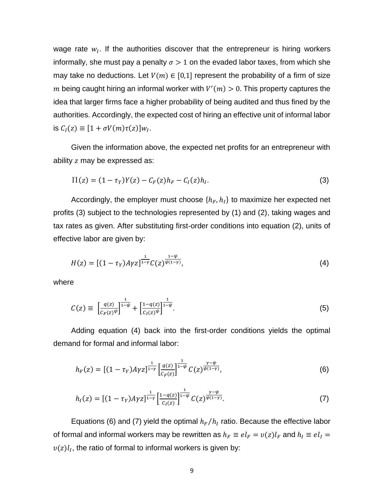wage rate  $w_I$ . If the authorities discover that the entrepreneur is hiring workers informally, she must pay a penalty  $\sigma > 1$  on the evaded labor taxes, from which she may take no deductions. Let  $V(m) \in [0,1]$  represent the probability of a firm of size m being caught hiring an informal worker with  $V'(m) > 0$ . This property captures the idea that larger firms face a higher probability of being audited and thus fined by the authorities. Accordingly, the expected cost of hiring an effective unit of informal labor is  $C_I(z) \equiv [1 + \sigma V(m)\tau(z)]w_I$ .

Given the information above, the expected net profits for an entrepreneur with ability  $z$  may be expressed as:

$$
\Pi(z) = (1 - \tau_Y)Y(z) - C_F(z)h_F - C_I(z)h_I.
$$
\n(3)

Accordingly, the employer must choose  $\{h_F, h_I\}$  to maximize her expected net profits (3) subject to the technologies represented by (1) and (2), taking wages and tax rates as given. After substituting first-order conditions into equation (2), units of effective labor are given by:

$$
H(z) = [(1 - \tau_Y)A\gamma z]^{\frac{1}{1 - \gamma}} C(z)^{\frac{1 - \psi}{\psi(1 - \gamma)}},
$$
\n(4)

where

$$
C(z) \equiv \left[\frac{q(z)}{C_F(z)^{\psi}}\right]^{\frac{1}{1-\psi}} + \left[\frac{1-q(z)}{C_I(z)^{\psi}}\right]^{\frac{1}{1-\psi}}.\tag{5}
$$

Adding equation (4) back into the first-order conditions yields the optimal demand for formal and informal labor:

$$
h_F(z) = \left[ (1 - \tau_Y) A \gamma z \right]_{1-\gamma} \left[ \frac{q(z)}{c_F(z)} \right]_{1-\psi} \frac{\gamma - \psi}{c(z)^{\psi(1-\gamma)}},\tag{6}
$$

$$
h_I(z) = \left[ (1 - \tau_Y) A \gamma z \right]^{\frac{1}{1 - \gamma}} \left[ \frac{1 - q(z)}{c_I(z)} \right]^{\frac{1}{1 - \psi}} C(z)^{\frac{\gamma - \psi}{\psi(1 - \gamma)}}.
$$
 (7)

Equations (6) and (7) yield the optimal  $h_F/h_I$  ratio. Because the effective labor of formal and informal workers may be rewritten as  $h_F \equiv el_F = v(z)l_F$  and  $h_I \equiv el_I =$  $v(z)l_I$ , the ratio of formal to informal workers is given by: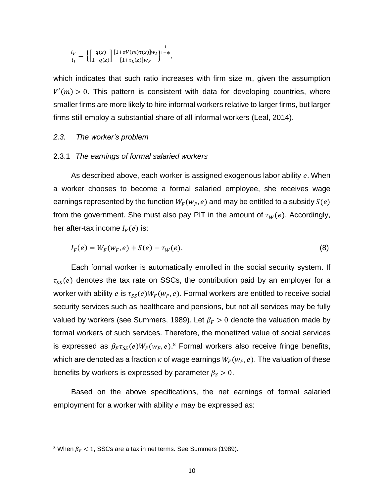$$
\frac{l_F}{l_I} = \left\{ \left[ \frac{q(z)}{1 - q(z)} \right] \frac{[1 + \sigma V(m)\tau(z)]w_I}{[1 + \tau_L(z)]w_F} \right\}^{\frac{1}{1 - \psi}},
$$

which indicates that such ratio increases with firm size  $m$ , given the assumption  $V'(m) > 0$ . This pattern is consistent with data for developing countries, where smaller firms are more likely to hire informal workers relative to larger firms, but larger firms still employ a substantial share of all informal workers (Leal, 2014).

## *2.3. The worker's problem*

#### 2.3.1 *The earnings of formal salaried workers*

As described above, each worker is assigned exogenous labor ability  $e$ . When a worker chooses to become a formal salaried employee, she receives wage earnings represented by the function  $W_F(w_F, e)$  and may be entitled to a subsidy  $S(e)$ from the government. She must also pay PIT in the amount of  $\tau_W(e)$ . Accordingly, her after-tax income  $I_F(e)$  is:

$$
I_F(e) = W_F(w_F, e) + S(e) - \tau_W(e).
$$
 (8)

Each formal worker is automatically enrolled in the social security system. If  $\tau_{ss}(e)$  denotes the tax rate on SSCs, the contribution paid by an employer for a worker with ability e is  $\tau_{SS}(e)W_F(w_F, e)$ . Formal workers are entitled to receive social security services such as healthcare and pensions, but not all services may be fully valued by workers (see Summers, 1989). Let  $\beta_F > 0$  denote the valuation made by formal workers of such services. Therefore, the monetized value of social services is expressed as  $\beta_F \tau_{SS}(e) W_F(w_F,e)$ .<sup>8</sup> Formal workers also receive fringe benefits, which are denoted as a fraction  $\kappa$  of wage earnings  $W_F(w_F, e)$ . The valuation of these benefits by workers is expressed by parameter  $\beta_s > 0$ .

Based on the above specifications, the net earnings of formal salaried employment for a worker with ability  $e$  may be expressed as:

<sup>&</sup>lt;sup>8</sup> When  $\beta_F$  < 1, SSCs are a tax in net terms. See Summers (1989).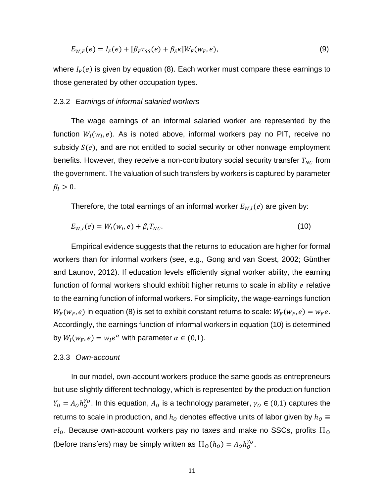$$
E_{W,F}(e) = I_F(e) + [\beta_F \tau_{SS}(e) + \beta_S \kappa] W_F(w_F, e), \qquad (9)
$$

where  $I_F(e)$  is given by equation (8). Each worker must compare these earnings to those generated by other occupation types.

#### 2.3.2 *Earnings of informal salaried workers*

The wage earnings of an informal salaried worker are represented by the function  $W_I(w_I,e)$ . As is noted above, informal workers pay no PIT, receive no subsidy  $S(e)$ , and are not entitled to social security or other nonwage employment benefits. However, they receive a non-contributory social security transfer  $T_{NC}$  from the government. The valuation of such transfers by workers is captured by parameter  $\beta_I > 0$ .

Therefore, the total earnings of an informal worker  $E_{W,I}(e)$  are given by:

$$
E_{W,I}(e) = W_I(w_I, e) + \beta_I T_{NC}.
$$
\n(10)

Empirical evidence suggests that the returns to education are higher for formal workers than for informal workers (see, e.g., Gong and van Soest, 2002; Günther and Launov, 2012). If education levels efficiently signal worker ability, the earning function of formal workers should exhibit higher returns to scale in ability  $e$  relative to the earning function of informal workers. For simplicity, the wage-earnings function  $W_F(w_F, e)$  in equation (8) is set to exhibit constant returns to scale:  $W_F(w_F, e) = w_F e$ . Accordingly, the earnings function of informal workers in equation (10) is determined by  $W_I(w_F, e) = w_I e^{\alpha}$  with parameter  $\alpha \in (0,1)$ .

#### 2.3.3 *Own-account*

In our model, own-account workers produce the same goods as entrepreneurs but use slightly different technology, which is represented by the production function  $Y_0 = A_0 h_0^{\gamma_0}$ . In this equation,  $A_0$  is a technology parameter,  $\gamma_0 \in (0,1)$  captures the returns to scale in production, and  $h_0$  denotes effective units of labor given by  $h_0 \equiv$  $el<sub>o</sub>$ . Because own-account workers pay no taxes and make no SSCs, profits  $\Pi<sub>o</sub>$ (before transfers) may be simply written as  $\Pi_0(h_o) = A_0 h_o^{\gamma o}$ .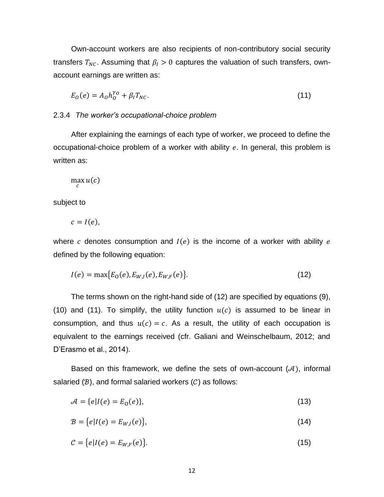Own-account workers are also recipients of non-contributory social security transfers  $T_{NC}$ . Assuming that  $\beta_I > 0$  captures the valuation of such transfers, ownaccount earnings are written as:

$$
E_0(e) = A_0 h_0^{\gamma_0} + \beta_I T_{NC}.
$$
\n(11)

## 2.3.4 *The worker's occupational-choice problem*

After explaining the earnings of each type of worker, we proceed to define the occupational-choice problem of a worker with ability  $e$ . In general, this problem is written as:

$$
\max_c u(c)
$$

subject to

$$
c = I(e),
$$

where c denotes consumption and  $I(e)$  is the income of a worker with ability e defined by the following equation:

$$
I(e) = \max\{E_0(e), E_{W,I}(e), E_{W,F}(e)\}.
$$
\n(12)

The terms shown on the right-hand side of (12) are specified by equations (9), (10) and (11). To simplify, the utility function  $u(c)$  is assumed to be linear in consumption, and thus  $u(c) = c$ . As a result, the utility of each occupation is equivalent to the earnings received (cfr. Galiani and Weinschelbaum, 2012; and D'Erasmo et al., 2014).

Based on this framework, we define the sets of own-account  $(\mathcal{A})$ , informal salaried  $(B)$ , and formal salaried workers  $(C)$  as follows:

$$
\mathcal{A} = \{e \mid I(e) = E_0(e)\},\tag{13}
$$

$$
B = \{e|I(e) = E_{W,I}(e)\},\tag{14}
$$

$$
\mathcal{C} = \{e|I(e) = E_{W,F}(e)\}.
$$
\n
$$
(15)
$$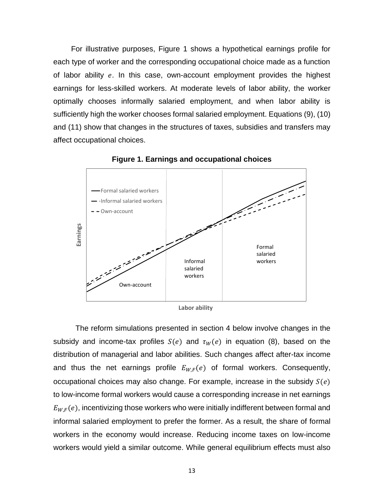For illustrative purposes, Figure 1 shows a hypothetical earnings profile for each type of worker and the corresponding occupational choice made as a function of labor ability  $e$ . In this case, own-account employment provides the highest earnings for less-skilled workers. At moderate levels of labor ability, the worker optimally chooses informally salaried employment, and when labor ability is sufficiently high the worker chooses formal salaried employment. Equations (9), (10) and (11) show that changes in the structures of taxes, subsidies and transfers may affect occupational choices.



**Figure 1. Earnings and occupational choices**

**Labor ability**

The reform simulations presented in section 4 below involve changes in the subsidy and income-tax profiles  $S(e)$  and  $\tau_W(e)$  in equation (8), based on the distribution of managerial and labor abilities. Such changes affect after-tax income and thus the net earnings profile  $E_{W,F}(e)$  of formal workers. Consequently, occupational choices may also change. For example, increase in the subsidy  $S(e)$ to low-income formal workers would cause a corresponding increase in net earnings  $E_{W,F}(e)$ , incentivizing those workers who were initially indifferent between formal and informal salaried employment to prefer the former. As a result, the share of formal workers in the economy would increase. Reducing income taxes on low-income Formal<br>
workers<br>
While detail a similar political and the subsidy and income-tax profiles S(e) and  $\tau_W(e)$  in equation (8), based on the<br>
distribution of managerial and labor abilities. Such changes affect after-tax incom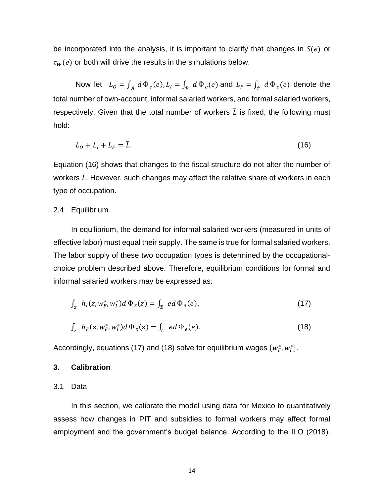be incorporated into the analysis, it is important to clarify that changes in  $S(e)$  or  $\tau_W(e)$  or both will drive the results in the simulations below.

Now let  $L_0 = \int_{\mathcal{A}} d\Phi_e(e)$ ,  $L_1 = \int_{\mathcal{B}} d\Phi_e(e)$  and  $L_F = \int_{\mathcal{C}} d\Phi_e(e)$  denote the total number of own-account, informal salaried workers, and formal salaried workers, respectively. Given that the total number of workers  $\overline{L}$  is fixed, the following must hold:

$$
L_0 + L_1 + L_F = \overline{L}.\tag{16}
$$

Equation (16) shows that changes to the fiscal structure do not alter the number of workers  $\bar{L}$ . However, such changes may affect the relative share of workers in each type of occupation.

#### 2.4 Equilibrium

In equilibrium, the demand for informal salaried workers (measured in units of effective labor) must equal their supply. The same is true for formal salaried workers. The labor supply of these two occupation types is determined by the occupationalchoice problem described above. Therefore, equilibrium conditions for formal and informal salaried workers may be expressed as:

$$
\int_{Z} h_{I}(z, w_{F}^{*}, w_{I}^{*}) d \Phi_{z}(z) = \int_{B} e d \Phi_{e}(e), \qquad (17)
$$

$$
\int_{Z} h_{F}(z, w_{F}^{*}, w_{I}^{*}) d \Phi_{z}(z) = \int_{C} e d \Phi_{e}(e).
$$
\n(18)

Accordingly, equations (17) and (18) solve for equilibrium wages  $\{w_F^*, w_I^*\}$ .

#### **3. Calibration**

## 3.1 Data

In this section, we calibrate the model using data for Mexico to quantitatively assess how changes in PIT and subsidies to formal workers may affect formal employment and the government's budget balance. According to the ILO (2018),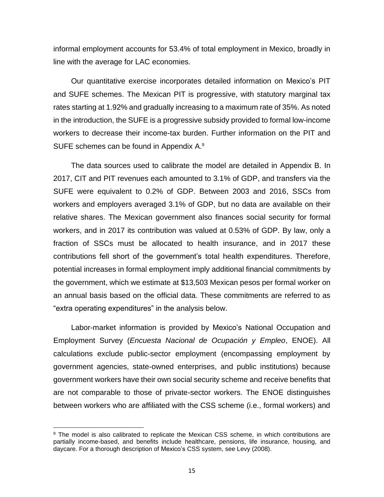informal employment accounts for 53.4% of total employment in Mexico, broadly in line with the average for LAC economies.

Our quantitative exercise incorporates detailed information on Mexico's PIT and SUFE schemes. The Mexican PIT is progressive, with statutory marginal tax rates starting at 1.92% and gradually increasing to a maximum rate of 35%. As noted in the introduction, the SUFE is a progressive subsidy provided to formal low-income workers to decrease their income-tax burden. Further information on the PIT and SUFE schemes can be found in Appendix A.<sup>9</sup>

The data sources used to calibrate the model are detailed in Appendix B. In 2017, CIT and PIT revenues each amounted to 3.1% of GDP, and transfers via the SUFE were equivalent to 0.2% of GDP. Between 2003 and 2016, SSCs from workers and employers averaged 3.1% of GDP, but no data are available on their relative shares. The Mexican government also finances social security for formal workers, and in 2017 its contribution was valued at 0.53% of GDP. By law, only a fraction of SSCs must be allocated to health insurance, and in 2017 these contributions fell short of the government's total health expenditures. Therefore, potential increases in formal employment imply additional financial commitments by the government, which we estimate at \$13,503 Mexican pesos per formal worker on an annual basis based on the official data. These commitments are referred to as "extra operating expenditures" in the analysis below.

Labor-market information is provided by Mexico's National Occupation and Employment Survey (*Encuesta Nacional de Ocupación y Empleo*, ENOE). All calculations exclude public-sector employment (encompassing employment by government agencies, state-owned enterprises, and public institutions) because government workers have their own social security scheme and receive benefits that are not comparable to those of private-sector workers. The ENOE distinguishes between workers who are affiliated with the CSS scheme (i.e., formal workers) and

<sup>&</sup>lt;sup>9</sup> The model is also calibrated to replicate the Mexican CSS scheme, in which contributions are partially income-based, and benefits include healthcare, pensions, life insurance, housing, and daycare. For a thorough description of Mexico's CSS system, see Levy (2008).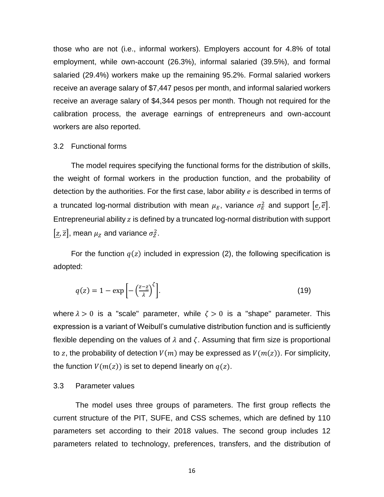those who are not (i.e., informal workers). Employers account for 4.8% of total employment, while own-account (26.3%), informal salaried (39.5%), and formal salaried (29.4%) workers make up the remaining 95.2%. Formal salaried workers receive an average salary of \$7,447 pesos per month, and informal salaried workers receive an average salary of \$4,344 pesos per month. Though not required for the calibration process, the average earnings of entrepreneurs and own-account workers are also reported.

### 3.2 Functional forms

The model requires specifying the functional forms for the distribution of skills, the weight of formal workers in the production function, and the probability of detection by the authorities. For the first case, labor ability  $e$  is described in terms of a truncated log-normal distribution with mean  $\mu_E$ , variance  $\sigma_E^2$  and support  $[\underline{e},\overline{e}].$ Entrepreneurial ability  $z$  is defined by a truncated log-normal distribution with support  $[\underline{z}, \overline{z}]$ , mean  $\mu_Z$  and variance  $\sigma_Z^2$ .

For the function  $q(z)$  included in expression (2), the following specification is adopted:

$$
q(z) = 1 - \exp\left[-\left(\frac{z - \underline{z}}{\lambda}\right)^{\zeta}\right].
$$
\n(19)

where  $\lambda > 0$  is a "scale" parameter, while  $\zeta > 0$  is a "shape" parameter. This expression is a variant of Weibull's cumulative distribution function and is sufficiently flexible depending on the values of  $\lambda$  and  $\zeta$ . Assuming that firm size is proportional to z, the probability of detection  $V(m)$  may be expressed as  $V(m(z))$ . For simplicity, the function  $V(m(z))$  is set to depend linearly on  $q(z)$ .

#### 3.3 Parameter values

The model uses three groups of parameters. The first group reflects the current structure of the PIT, SUFE, and CSS schemes, which are defined by 110 parameters set according to their 2018 values. The second group includes 12 parameters related to technology, preferences, transfers, and the distribution of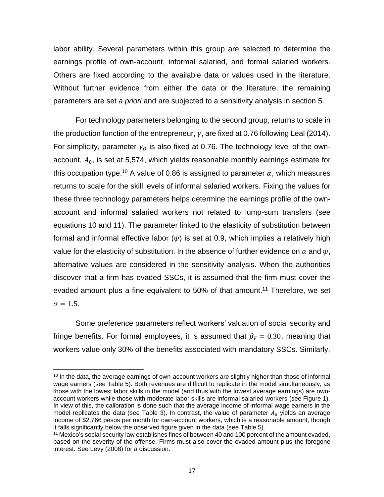labor ability. Several parameters within this group are selected to determine the earnings profile of own-account, informal salaried, and formal salaried workers. Others are fixed according to the available data or values used in the literature. Without further evidence from either the data or the literature, the remaining parameters are set *a priori* and are subjected to a sensitivity analysis in section 5.

For technology parameters belonging to the second group, returns to scale in the production function of the entrepreneur,  $\gamma$ , are fixed at 0.76 following Leal (2014). For simplicity, parameter  $\gamma_0$  is also fixed at 0.76. The technology level of the ownaccount,  $A_0$ , is set at 5,574, which yields reasonable monthly earnings estimate for this occupation type.<sup>10</sup> A value of 0.86 is assigned to parameter  $\alpha$ , which measures returns to scale for the skill levels of informal salaried workers. Fixing the values for these three technology parameters helps determine the earnings profile of the ownaccount and informal salaried workers not related to lump-sum transfers (see equations 10 and 11). The parameter linked to the elasticity of substitution between formal and informal effective labor  $(\psi)$  is set at 0.9, which implies a relatively high value for the elasticity of substitution. In the absence of further evidence on  $\alpha$  and  $\psi$ , alternative values are considered in the sensitivity analysis. When the authorities discover that a firm has evaded SSCs, it is assumed that the firm must cover the evaded amount plus a fine equivalent to 50% of that amount.<sup>11</sup> Therefore, we set  $\sigma = 1.5.$ 

Some preference parameters reflect workers' valuation of social security and fringe benefits. For formal employees, it is assumed that  $\beta_F = 0.30$ , meaning that workers value only 30% of the benefits associated with mandatory SSCs. Similarly,

<sup>&</sup>lt;sup>10</sup> In the data, the average earnings of own-account workers are slightly higher than those of informal wage earners (see Table 5). Both revenues are difficult to replicate in the model simultaneously, as those with the lowest labor skills in the model (and thus with the lowest average earnings) are ownaccount workers while those with moderate labor skills are informal salaried workers (see Figure 1). In view of this, the calibration is done such that the average income of informal wage earners in the model replicates the data (see Table 3). In contrast, the value of parameter  $A_0$  yields an average income of \$2,766 pesos per month for own-account workers, which is a reasonable amount, though it falls significantly below the observed figure given in the data (see Table 5).

<sup>&</sup>lt;sup>11</sup> Mexico's social security law establishes fines of between 40 and 100 percent of the amount evaded, based on the severity of the offense. Firms must also cover the evaded amount plus the foregone interest. See Levy (2008) for a discussion.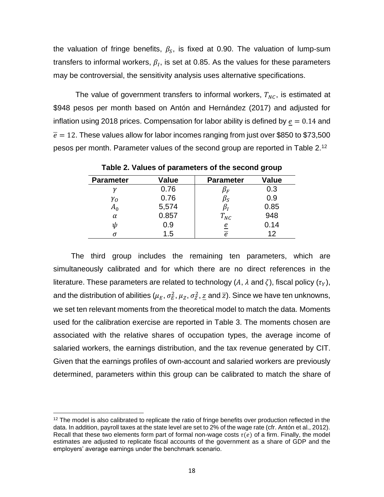the valuation of fringe benefits,  $\beta_{\scriptscriptstyle S}$ , is fixed at 0.90. The valuation of lump-sum transfers to informal workers,  $\beta_I$ , is set at 0.85. As the values for these parameters may be controversial, the sensitivity analysis uses alternative specifications.

The value of government transfers to informal workers,  $T_{NC}$ , is estimated at \$948 pesos per month based on Antón and Hernández (2017) and adjusted for inflation using 2018 prices. Compensation for labor ability is defined by  $e = 0.14$  and  $\bar{e}$  = 12. These values allow for labor incomes ranging from just over \$850 to \$73,500 pesos per month. Parameter values of the second group are reported in Table 2.<sup>12</sup>

| <b>Parameter</b> | Value | <b>Parameter</b> | Value |
|------------------|-------|------------------|-------|
|                  | 0.76  | $\mu_F$          | 0.3   |
| $\gamma_{O}$     | 0.76  | $\rho_S$         | 0.9   |
| $A_0$            | 5,574 |                  | 0.85  |
| $\alpha$         | 0.857 | $T_{NC}$         | 948   |
| ψ                | 0.9   | e                | 0.14  |
| σ                | 1.5   | e                | 12    |

**Table 2. Values of parameters of the second group**

The third group includes the remaining ten parameters, which are simultaneously calibrated and for which there are no direct references in the literature. These parameters are related to technology (A,  $\lambda$  and  $\zeta$ ), fiscal policy ( $\tau_Y$ ), and the distribution of abilities ( $\mu_E, \sigma_E^2, \mu_Z, \sigma_Z^2, \underline{z}$  and  $\overline{z}$ ). Since we have ten unknowns, we set ten relevant moments from the theoretical model to match the data. Moments used for the calibration exercise are reported in Table 3. The moments chosen are associated with the relative shares of occupation types, the average income of salaried workers, the earnings distribution, and the tax revenue generated by CIT. Given that the earnings profiles of own-account and salaried workers are previously determined, parameters within this group can be calibrated to match the share of

<sup>&</sup>lt;sup>12</sup> The model is also calibrated to replicate the ratio of fringe benefits over production reflected in the data. In addition, payroll taxes at the state level are set to 2% of the wage rate (cfr. Antón et al., 2012). Recall that these two elements form part of formal non-wage costs  $\tau(e)$  of a firm. Finally, the model estimates are adjusted to replicate fiscal accounts of the government as a share of GDP and the employers' average earnings under the benchmark scenario.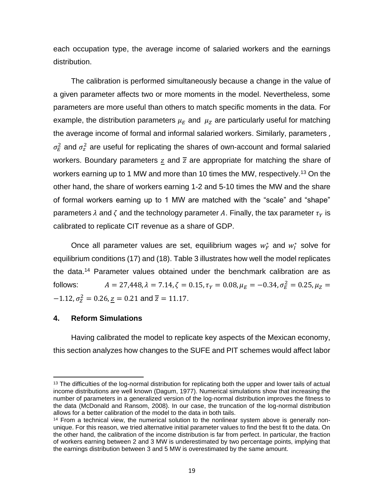each occupation type, the average income of salaried workers and the earnings distribution.

The calibration is performed simultaneously because a change in the value of a given parameter affects two or more moments in the model. Nevertheless, some parameters are more useful than others to match specific moments in the data. For example, the distribution parameters  $\mu_E$  and  $\mu_Z$  are particularly useful for matching the average income of formal and informal salaried workers. Similarly, parameters ,  $\sigma_E^2$  and  $\sigma_z^2$  are useful for replicating the shares of own-account and formal salaried workers. Boundary parameters  $z$  and  $\overline{z}$  are appropriate for matching the share of workers earning up to 1 MW and more than 10 times the MW, respectively.<sup>13</sup> On the other hand, the share of workers earning 1-2 and 5-10 times the MW and the share of formal workers earning up to 1 MW are matched with the "scale" and "shape" parameters  $\lambda$  and  $\zeta$  and the technology parameter A. Finally, the tax parameter  $\tau_Y$  is calibrated to replicate CIT revenue as a share of GDP.

Once all parameter values are set, equilibrium wages  $w_F^*$  and  $w_I^*$  solve for equilibrium conditions (17) and (18). Table 3 illustrates how well the model replicates the data.<sup>14</sup> Parameter values obtained under the benchmark calibration are as follows:  $A = 27,448$ ,  $\lambda = 7.14$ ,  $\zeta = 0.15$ ,  $\tau_Y = 0.08$ ,  $\mu_E = -0.34$ ,  $\sigma_E^2 = 0.25$ ,  $\mu_Z =$  $-1.12, \sigma_Z^2 = 0.26, \underline{z} = 0.21$  and  $\overline{z} = 11.17$ .

## **4. Reform Simulations**

Having calibrated the model to replicate key aspects of the Mexican economy, this section analyzes how changes to the SUFE and PIT schemes would affect labor

<sup>&</sup>lt;sup>13</sup> The difficulties of the log-normal distribution for replicating both the upper and lower tails of actual income distributions are well known (Dagum, 1977). Numerical simulations show that increasing the number of parameters in a generalized version of the log-normal distribution improves the fitness to the data (McDonald and Ransom, 2008). In our case, the truncation of the log-normal distribution allows for a better calibration of the model to the data in both tails.

<sup>&</sup>lt;sup>14</sup> From a technical view, the numerical solution to the nonlinear system above is generally nonunique. For this reason, we tried alternative initial parameter values to find the best fit to the data. On the other hand, the calibration of the income distribution is far from perfect. In particular, the fraction of workers earning between 2 and 3 MW is underestimated by two percentage points, implying that the earnings distribution between 3 and 5 MW is overestimated by the same amount.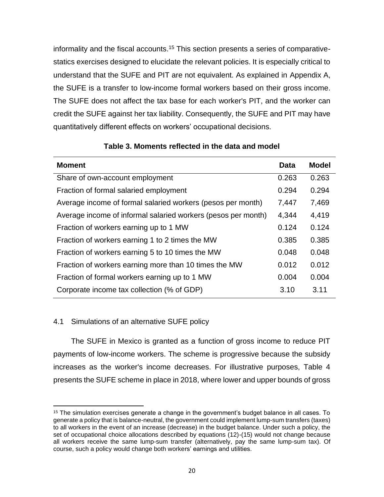informality and the fiscal accounts.<sup>15</sup> This section presents a series of comparativestatics exercises designed to elucidate the relevant policies. It is especially critical to understand that the SUFE and PIT are not equivalent. As explained in Appendix A, the SUFE is a transfer to low-income formal workers based on their gross income. The SUFE does not affect the tax base for each worker's PIT, and the worker can credit the SUFE against her tax liability. Consequently, the SUFE and PIT may have quantitatively different effects on workers' occupational decisions.

| <b>Moment</b>                                                 | <b>Data</b> | <b>Model</b> |
|---------------------------------------------------------------|-------------|--------------|
| Share of own-account employment                               | 0.263       | 0.263        |
| Fraction of formal salaried employment                        | 0.294       | 0.294        |
| Average income of formal salaried workers (pesos per month)   | 7,447       | 7,469        |
| Average income of informal salaried workers (pesos per month) | 4,344       | 4,419        |
| Fraction of workers earning up to 1 MW                        | 0.124       | 0.124        |
| Fraction of workers earning 1 to 2 times the MW               | 0.385       | 0.385        |
| Fraction of workers earning 5 to 10 times the MW              | 0.048       | 0.048        |
| Fraction of workers earning more than 10 times the MW         | 0.012       | 0.012        |
| Fraction of formal workers earning up to 1 MW                 | 0.004       | 0.004        |
| Corporate income tax collection (% of GDP)                    | 3.10        | 3.11         |

## **Table 3. Moments reflected in the data and model**

# 4.1 Simulations of an alternative SUFE policy

The SUFE in Mexico is granted as a function of gross income to reduce PIT payments of low-income workers. The scheme is progressive because the subsidy increases as the worker's income decreases. For illustrative purposes, Table 4 presents the SUFE scheme in place in 2018, where lower and upper bounds of gross

<sup>&</sup>lt;sup>15</sup> The simulation exercises generate a change in the government's budget balance in all cases. To generate a policy that is balance-neutral, the government could implement lump-sum transfers (taxes) to all workers in the event of an increase (decrease) in the budget balance. Under such a policy, the set of occupational choice allocations described by equations (12)-(15) would not change because all workers receive the same lump-sum transfer (alternatively, pay the same lump-sum tax). Of course, such a policy would change both workers' earnings and utilities.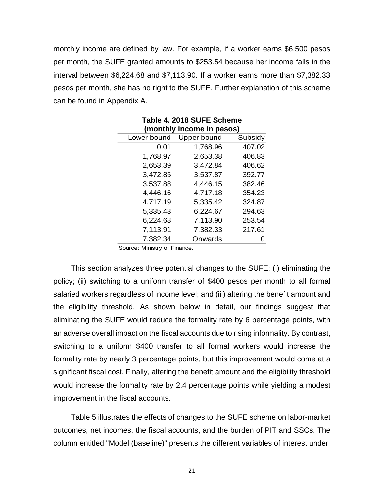monthly income are defined by law. For example, if a worker earns \$6,500 pesos per month, the SUFE granted amounts to \$253.54 because her income falls in the interval between \$6,224.68 and \$7,113.90. If a worker earns more than \$7,382.33 pesos per month, she has no right to the SUFE. Further explanation of this scheme can be found in Appendix A.

| (monthly income in pesos) |             |         |  |  |  |  |
|---------------------------|-------------|---------|--|--|--|--|
| Lower bound               | Upper bound | Subsidy |  |  |  |  |
| 0.01                      | 1,768.96    | 407.02  |  |  |  |  |
| 1,768.97                  | 2,653.38    | 406.83  |  |  |  |  |
| 2,653.39                  | 3,472.84    | 406.62  |  |  |  |  |
| 3,472.85                  | 3,537.87    | 392.77  |  |  |  |  |
| 3,537.88                  | 4,446.15    | 382.46  |  |  |  |  |
| 4,446.16                  | 4,717.18    | 354.23  |  |  |  |  |
| 4,717.19                  | 5,335.42    | 324.87  |  |  |  |  |
| 5,335.43                  | 6,224.67    | 294.63  |  |  |  |  |
| 6,224.68                  | 7,113.90    | 253.54  |  |  |  |  |
| 7,113.91                  | 7,382.33    | 217.61  |  |  |  |  |
| 7,382.34                  | Onwards     |         |  |  |  |  |

**Table 4. 2018 SUFE Scheme**

Source: Ministry of Finance.

This section analyzes three potential changes to the SUFE: (i) eliminating the policy; (ii) switching to a uniform transfer of \$400 pesos per month to all formal salaried workers regardless of income level; and (iii) altering the benefit amount and the eligibility threshold. As shown below in detail, our findings suggest that eliminating the SUFE would reduce the formality rate by 6 percentage points, with an adverse overall impact on the fiscal accounts due to rising informality. By contrast, switching to a uniform \$400 transfer to all formal workers would increase the formality rate by nearly 3 percentage points, but this improvement would come at a significant fiscal cost. Finally, altering the benefit amount and the eligibility threshold would increase the formality rate by 2.4 percentage points while yielding a modest improvement in the fiscal accounts.

Table 5 illustrates the effects of changes to the SUFE scheme on labor-market outcomes, net incomes, the fiscal accounts, and the burden of PIT and SSCs. The column entitled "Model (baseline)" presents the different variables of interest under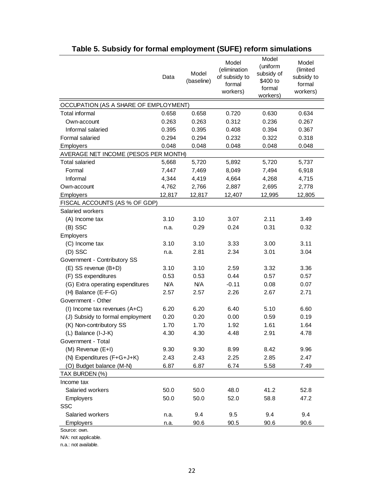|                                       | Data   | Model<br>(baseline) | Model<br>(elimination<br>of subsidy to<br>formal<br>workers) | Model<br>(uniform<br>subsidy of<br>\$400 to<br>formal<br>workers) | Model<br>(limited<br>subsidy to<br>formal<br>workers) |
|---------------------------------------|--------|---------------------|--------------------------------------------------------------|-------------------------------------------------------------------|-------------------------------------------------------|
| OCCUPATION (AS A SHARE OF EMPLOYMENT) |        |                     |                                                              |                                                                   |                                                       |
| Total informal                        | 0.658  | 0.658               | 0.720                                                        | 0.630                                                             | 0.634                                                 |
| Own-account                           | 0.263  | 0.263               | 0.312                                                        | 0.236                                                             | 0.267                                                 |
| Informal salaried                     | 0.395  | 0.395               | 0.408                                                        | 0.394                                                             | 0.367                                                 |
| Formal salaried                       | 0.294  | 0.294               | 0.232                                                        | 0.322                                                             | 0.318                                                 |
| Employers                             | 0.048  | 0.048               | 0.048                                                        | 0.048                                                             | 0.048                                                 |
| AVERAGE NET INCOME (PESOS PER MONTH)  |        |                     |                                                              |                                                                   |                                                       |
| <b>Total salaried</b>                 | 5,668  | 5,720               | 5,892                                                        | 5,720                                                             | 5,737                                                 |
| Formal                                | 7,447  | 7,469               | 8,049                                                        | 7,494                                                             | 6,918                                                 |
| Informal                              | 4,344  | 4,419               | 4,664                                                        | 4,268                                                             | 4,715                                                 |
| Own-account                           | 4,762  | 2,766               | 2,887                                                        | 2,695                                                             | 2,778                                                 |
| Employers                             | 12,817 | 12,817              | 12,407                                                       | 12,995                                                            | 12,805                                                |
| FISCAL ACCOUNTS (AS % OF GDP)         |        |                     |                                                              |                                                                   |                                                       |
| Salaried workers                      |        |                     |                                                              |                                                                   |                                                       |
| (A) Income tax                        | 3.10   | 3.10                | 3.07                                                         | 2.11                                                              | 3.49                                                  |
| (B) SSC                               | n.a.   | 0.29                | 0.24                                                         | 0.31                                                              | 0.32                                                  |
| Employers                             |        |                     |                                                              |                                                                   |                                                       |
| (C) Income tax                        | 3.10   | 3.10                | 3.33                                                         | 3.00                                                              | 3.11                                                  |
| (D) SSC                               | n.a.   | 2.81                | 2.34                                                         | 3.01                                                              | 3.04                                                  |
| Government - Contributory SS          |        |                     |                                                              |                                                                   |                                                       |
| (E) SS revenue (B+D)                  | 3.10   | 3.10                | 2.59                                                         | 3.32                                                              | 3.36                                                  |
| (F) SS expenditures                   | 0.53   | 0.53                | 0.44                                                         | 0.57                                                              | 0.57                                                  |
| (G) Extra operating expenditures      | N/A    | <b>N/A</b>          | $-0.11$                                                      | 0.08                                                              | 0.07                                                  |
| (H) Balance (E-F-G)                   | 2.57   | 2.57                | 2.26                                                         | 2.67                                                              | 2.71                                                  |
| Government - Other                    |        |                     |                                                              |                                                                   |                                                       |
| (I) Income tax revenues $(A+C)$       | 6.20   | 6.20                | 6.40                                                         | 5.10                                                              | 6.60                                                  |
| (J) Subsidy to formal employment      | 0.20   | 0.20                | 0.00                                                         | 0.59                                                              | 0.19                                                  |
| (K) Non-contributory SS               | 1.70   | 1.70                | 1.92                                                         | 1.61                                                              | 1.64                                                  |
| (L) Balance (I-J-K)                   | 4.30   | 4.30                | 4.48                                                         | 2.91                                                              | 4.78                                                  |
| Government - Total                    |        |                     |                                                              |                                                                   |                                                       |
| (M) Revenue (E+I)                     | 9.30   | 9.30                | 8.99                                                         | 8.42                                                              | 9.96                                                  |
| (N) Expenditures (F+G+J+K)            | 2.43   | 2.43                | 2.25                                                         | 2.85                                                              | 2.47                                                  |
| (O) Budget balance (M-N)              | 6.87   | 6.87                | 6.74                                                         | 5.58                                                              | 7.49                                                  |
| TAX BURDEN (%)                        |        |                     |                                                              |                                                                   |                                                       |
| Income tax                            |        |                     |                                                              |                                                                   |                                                       |
| Salaried workers                      | 50.0   | 50.0                | 48.0                                                         | 41.2                                                              | 52.8                                                  |
| Employers                             | 50.0   | 50.0                | 52.0                                                         | 58.8                                                              | 47.2                                                  |
| SSC                                   |        |                     |                                                              |                                                                   |                                                       |
| Salaried workers                      | n.a.   | 9.4                 | 9.5                                                          | 9.4                                                               | 9.4                                                   |
| Employers                             | n.a.   | 90.6                | 90.5                                                         | 90.6                                                              | 90.6                                                  |
| Source: own.                          |        |                     |                                                              |                                                                   |                                                       |

# **Table 5. Subsidy for formal employment (SUFE) reform simulations**

Source: own.

N/A: not applicable.

n.a.: not available.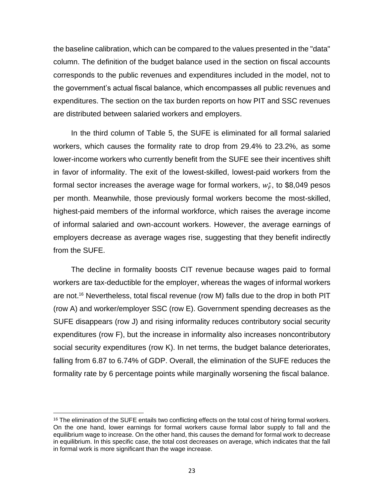the baseline calibration, which can be compared to the values presented in the "data" column. The definition of the budget balance used in the section on fiscal accounts corresponds to the public revenues and expenditures included in the model, not to the government's actual fiscal balance, which encompasses all public revenues and expenditures. The section on the tax burden reports on how PIT and SSC revenues are distributed between salaried workers and employers.

In the third column of Table 5, the SUFE is eliminated for all formal salaried workers, which causes the formality rate to drop from 29.4% to 23.2%, as some lower-income workers who currently benefit from the SUFE see their incentives shift in favor of informality. The exit of the lowest-skilled, lowest-paid workers from the formal sector increases the average wage for formal workers,  $w_F^*$ , to \$8,049 pesos per month. Meanwhile, those previously formal workers become the most-skilled, highest-paid members of the informal workforce, which raises the average income of informal salaried and own-account workers. However, the average earnings of employers decrease as average wages rise, suggesting that they benefit indirectly from the SUFE.

The decline in formality boosts CIT revenue because wages paid to formal workers are tax-deductible for the employer, whereas the wages of informal workers are not.<sup>16</sup> Nevertheless, total fiscal revenue (row M) falls due to the drop in both PIT (row A) and worker/employer SSC (row E). Government spending decreases as the SUFE disappears (row J) and rising informality reduces contributory social security expenditures (row F), but the increase in informality also increases noncontributory social security expenditures (row K). In net terms, the budget balance deteriorates, falling from 6.87 to 6.74% of GDP. Overall, the elimination of the SUFE reduces the formality rate by 6 percentage points while marginally worsening the fiscal balance.

<sup>&</sup>lt;sup>16</sup> The elimination of the SUFE entails two conflicting effects on the total cost of hiring formal workers. On the one hand, lower earnings for formal workers cause formal labor supply to fall and the equilibrium wage to increase. On the other hand, this causes the demand for formal work to decrease in equilibrium. In this specific case, the total cost decreases on average, which indicates that the fall in formal work is more significant than the wage increase.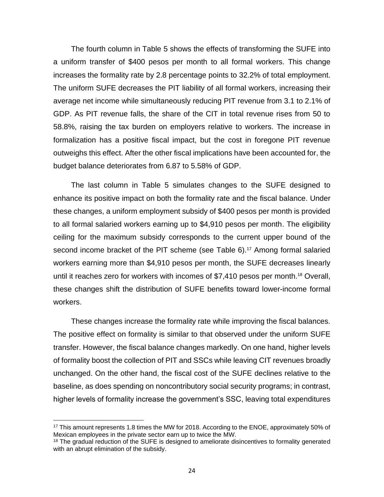The fourth column in Table 5 shows the effects of transforming the SUFE into a uniform transfer of \$400 pesos per month to all formal workers. This change increases the formality rate by 2.8 percentage points to 32.2% of total employment. The uniform SUFE decreases the PIT liability of all formal workers, increasing their average net income while simultaneously reducing PIT revenue from 3.1 to 2.1% of GDP. As PIT revenue falls, the share of the CIT in total revenue rises from 50 to 58.8%, raising the tax burden on employers relative to workers. The increase in formalization has a positive fiscal impact, but the cost in foregone PIT revenue outweighs this effect. After the other fiscal implications have been accounted for, the budget balance deteriorates from 6.87 to 5.58% of GDP.

The last column in Table 5 simulates changes to the SUFE designed to enhance its positive impact on both the formality rate and the fiscal balance. Under these changes, a uniform employment subsidy of \$400 pesos per month is provided to all formal salaried workers earning up to \$4,910 pesos per month. The eligibility ceiling for the maximum subsidy corresponds to the current upper bound of the second income bracket of the PIT scheme (see Table 6).<sup>17</sup> Among formal salaried workers earning more than \$4,910 pesos per month, the SUFE decreases linearly until it reaches zero for workers with incomes of \$7,410 pesos per month. <sup>18</sup> Overall, these changes shift the distribution of SUFE benefits toward lower-income formal workers.

These changes increase the formality rate while improving the fiscal balances. The positive effect on formality is similar to that observed under the uniform SUFE transfer. However, the fiscal balance changes markedly. On one hand, higher levels of formality boost the collection of PIT and SSCs while leaving CIT revenues broadly unchanged. On the other hand, the fiscal cost of the SUFE declines relative to the baseline, as does spending on noncontributory social security programs; in contrast, higher levels of formality increase the government's SSC, leaving total expenditures

<sup>&</sup>lt;sup>17</sup> This amount represents 1.8 times the MW for 2018. According to the ENOE, approximately 50% of Mexican employees in the private sector earn up to twice the MW.

<sup>&</sup>lt;sup>18</sup> The gradual reduction of the SUFE is designed to ameliorate disincentives to formality generated with an abrupt elimination of the subsidy.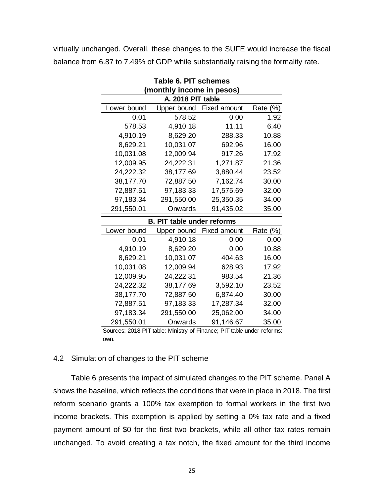virtually unchanged. Overall, these changes to the SUFE would increase the fiscal balance from 6.87 to 7.49% of GDP while substantially raising the formality rate.

|                   | <b>Table 6. PIT schemes</b><br>(monthly income in pesos) |                     |          |  |  |  |  |  |
|-------------------|----------------------------------------------------------|---------------------|----------|--|--|--|--|--|
| A. 2018 PIT table |                                                          |                     |          |  |  |  |  |  |
| Lower bound       | Upper bound                                              | <b>Fixed amount</b> | Rate (%) |  |  |  |  |  |
| 0.01              | 578.52                                                   | 0.00                | 1.92     |  |  |  |  |  |
| 578.53            | 4,910.18                                                 | 11.11               | 6.40     |  |  |  |  |  |
| 4,910.19          | 8,629.20                                                 | 288.33              | 10.88    |  |  |  |  |  |
| 8,629.21          | 10,031.07                                                | 692.96              | 16.00    |  |  |  |  |  |
| 10,031.08         | 12,009.94                                                | 917.26              | 17.92    |  |  |  |  |  |
| 12,009.95         | 24,222.31                                                | 1,271.87            | 21.36    |  |  |  |  |  |
| 24,222.32         | 38,177.69                                                | 3,880.44            | 23.52    |  |  |  |  |  |
| 38,177.70         | 72,887.50                                                | 7,162.74            | 30.00    |  |  |  |  |  |
| 72,887.51         | 97,183.33                                                | 17,575.69           | 32.00    |  |  |  |  |  |
| 97,183.34         | 291,550.00                                               | 25,350.35           | 34.00    |  |  |  |  |  |
| 291,550.01        | Onwards                                                  | 91,435.02           | 35.00    |  |  |  |  |  |
|                   | <b>B. PIT table under reforms</b>                        |                     |          |  |  |  |  |  |
| Lower bound       | Upper bound                                              | <b>Fixed amount</b> | Rate (%) |  |  |  |  |  |
| 0.01              | 4,910.18                                                 | 0.00                | 0.00     |  |  |  |  |  |
| 4,910.19          | 8,629.20                                                 | 0.00                | 10.88    |  |  |  |  |  |
| 8,629.21          | 10,031.07                                                | 404.63              | 16.00    |  |  |  |  |  |
| 10,031.08         | 12,009.94                                                | 628.93              | 17.92    |  |  |  |  |  |
| 12,009.95         | 24,222.31                                                | 983.54              | 21.36    |  |  |  |  |  |
| 24,222.32         | 38,177.69                                                | 3,592.10            | 23.52    |  |  |  |  |  |
| 38,177.70         | 72,887.50                                                | 6,874.40            | 30.00    |  |  |  |  |  |
| 72,887.51         | 97,183.33                                                | 17,287.34           | 32.00    |  |  |  |  |  |
| 97,183.34         | 291,550.00                                               | 25,062.00           | 34.00    |  |  |  |  |  |
| 291,550.01        | Onwards                                                  | 91,146.67           | 35.00    |  |  |  |  |  |

Sources: 2018 PIT table: Ministry of Finance; PIT table under reforms: own.

## 4.2 Simulation of changes to the PIT scheme

Table 6 presents the impact of simulated changes to the PIT scheme. Panel A shows the baseline, which reflects the conditions that were in place in 2018. The first reform scenario grants a 100% tax exemption to formal workers in the first two income brackets. This exemption is applied by setting a 0% tax rate and a fixed payment amount of \$0 for the first two brackets, while all other tax rates remain unchanged. To avoid creating a tax notch, the fixed amount for the third income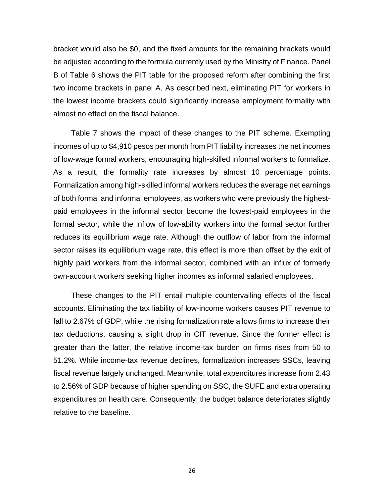bracket would also be \$0, and the fixed amounts for the remaining brackets would be adjusted according to the formula currently used by the Ministry of Finance. Panel B of Table 6 shows the PIT table for the proposed reform after combining the first two income brackets in panel A. As described next, eliminating PIT for workers in the lowest income brackets could significantly increase employment formality with almost no effect on the fiscal balance.

Table 7 shows the impact of these changes to the PIT scheme. Exempting incomes of up to \$4,910 pesos per month from PIT liability increases the net incomes of low-wage formal workers, encouraging high-skilled informal workers to formalize. As a result, the formality rate increases by almost 10 percentage points. Formalization among high-skilled informal workers reduces the average net earnings of both formal and informal employees, as workers who were previously the highestpaid employees in the informal sector become the lowest-paid employees in the formal sector, while the inflow of low-ability workers into the formal sector further reduces its equilibrium wage rate. Although the outflow of labor from the informal sector raises its equilibrium wage rate, this effect is more than offset by the exit of highly paid workers from the informal sector, combined with an influx of formerly own-account workers seeking higher incomes as informal salaried employees.

These changes to the PIT entail multiple countervailing effects of the fiscal accounts. Eliminating the tax liability of low-income workers causes PIT revenue to fall to 2.67% of GDP, while the rising formalization rate allows firms to increase their tax deductions, causing a slight drop in CIT revenue. Since the former effect is greater than the latter, the relative income-tax burden on firms rises from 50 to 51.2%. While income-tax revenue declines, formalization increases SSCs, leaving fiscal revenue largely unchanged. Meanwhile, total expenditures increase from 2.43 to 2.56% of GDP because of higher spending on SSC, the SUFE and extra operating expenditures on health care. Consequently, the budget balance deteriorates slightly relative to the baseline.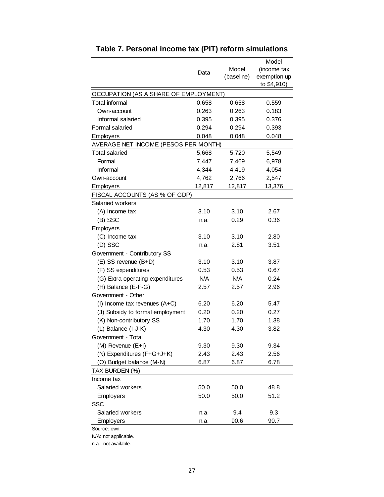|                                       |            |            | Model        |
|---------------------------------------|------------|------------|--------------|
|                                       | Data       | Model      | (income tax  |
|                                       |            | (baseline) | exemption up |
|                                       |            |            | to \$4,910)  |
| OCCUPATION (AS A SHARE OF EMPLOYMENT) |            |            |              |
| <b>Total informal</b>                 | 0.658      | 0.658      | 0.559        |
| Own-account                           | 0.263      | 0.263      | 0.183        |
| Informal salaried                     | 0.395      | 0.395      | 0.376        |
| Formal salaried                       | 0.294      | 0.294      | 0.393        |
| Employers                             | 0.048      | 0.048      | 0.048        |
| AVERAGE NET INCOME (PESOS PER MONTH)  |            |            |              |
| Total salaried                        | 5,668      | 5,720      | 5,549        |
| Formal                                | 7,447      | 7,469      | 6,978        |
| Informal                              | 4,344      | 4,419      | 4,054        |
| Own-account                           | 4,762      | 2,766      | 2,547        |
| Employers                             | 12,817     | 12,817     | 13,376       |
| FISCAL ACCOUNTS (AS % OF GDP)         |            |            |              |
| Salaried workers                      |            |            |              |
| (A) Income tax                        | 3.10       | 3.10       | 2.67         |
| (B) SSC                               | n.a.       | 0.29       | 0.36         |
| Employers                             |            |            |              |
| (C) Income tax                        | 3.10       | 3.10       | 2.80         |
| (D) SSC                               | n.a.       | 2.81       | 3.51         |
| Government - Contributory SS          |            |            |              |
| (E) SS revenue (B+D)                  | 3.10       | 3.10       | 3.87         |
| (F) SS expenditures                   | 0.53       | 0.53       | 0.67         |
| (G) Extra operating expenditures      | <b>N/A</b> | <b>N/A</b> | 0.24         |
| (H) Balance (E-F-G)                   | 2.57       | 2.57       | 2.96         |
| Government - Other                    |            |            |              |
| (I) Income tax revenues $(A+C)$       | 6.20       | 6.20       | 5.47         |
| (J) Subsidy to formal employment      | 0.20       | 0.20       | 0.27         |
| (K) Non-contributory SS               | 1.70       | 1.70       | 1.38         |
| (L) Balance (I-J-K)                   | 4.30       | 4.30       | 3.82         |
| Government - Total                    |            |            |              |
| (M) Revenue (E+I)                     | 9.30       | 9.30       | 9.34         |
| (N) Expenditures (F+G+J+K)            | 2.43       | 2.43       | 2.56         |
| (O) Budget balance (M-N)              | 6.87       | 6.87       | 6.78         |
| TAX BURDEN (%)                        |            |            |              |
| Income tax                            |            |            |              |
| Salaried workers                      | 50.0       | 50.0       | 48.8         |
| <b>Employers</b>                      | 50.0       | 50.0       | 51.2         |
| SSC                                   |            |            |              |
| Salaried workers                      | n.a.       | 9.4        | 9.3          |
| <b>Employers</b>                      | n.a.       | 90.6       | 90.7         |
| Source: own.                          |            |            |              |

N/A: not applicable. n.a.: not available.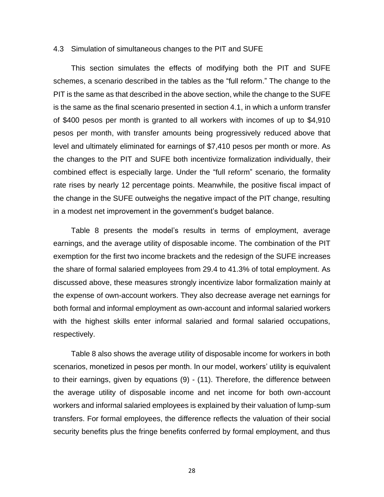#### 4.3 Simulation of simultaneous changes to the PIT and SUFE

This section simulates the effects of modifying both the PIT and SUFE schemes, a scenario described in the tables as the "full reform." The change to the PIT is the same as that described in the above section, while the change to the SUFE is the same as the final scenario presented in section 4.1, in which a unform transfer of \$400 pesos per month is granted to all workers with incomes of up to \$4,910 pesos per month, with transfer amounts being progressively reduced above that level and ultimately eliminated for earnings of \$7,410 pesos per month or more. As the changes to the PIT and SUFE both incentivize formalization individually, their combined effect is especially large. Under the "full reform" scenario, the formality rate rises by nearly 12 percentage points. Meanwhile, the positive fiscal impact of the change in the SUFE outweighs the negative impact of the PIT change, resulting in a modest net improvement in the government's budget balance.

Table 8 presents the model's results in terms of employment, average earnings, and the average utility of disposable income. The combination of the PIT exemption for the first two income brackets and the redesign of the SUFE increases the share of formal salaried employees from 29.4 to 41.3% of total employment. As discussed above, these measures strongly incentivize labor formalization mainly at the expense of own-account workers. They also decrease average net earnings for both formal and informal employment as own-account and informal salaried workers with the highest skills enter informal salaried and formal salaried occupations, respectively.

Table 8 also shows the average utility of disposable income for workers in both scenarios, monetized in pesos per month. In our model, workers' utility is equivalent to their earnings, given by equations (9) - (11). Therefore, the difference between the average utility of disposable income and net income for both own-account workers and informal salaried employees is explained by their valuation of lump-sum transfers. For formal employees, the difference reflects the valuation of their social security benefits plus the fringe benefits conferred by formal employment, and thus

28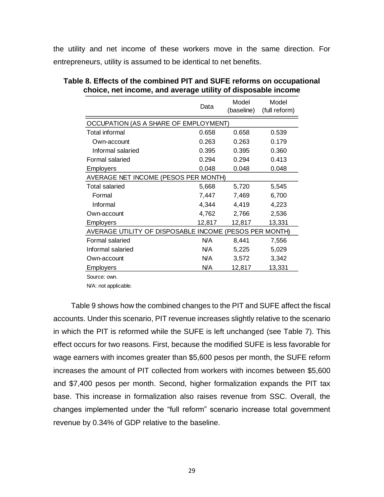the utility and net income of these workers move in the same direction. For entrepreneurs, utility is assumed to be identical to net benefits.

|                                                        | Data   | Model<br>(baseline) | Model<br>(full reform) |  |
|--------------------------------------------------------|--------|---------------------|------------------------|--|
| OCCUPATION (AS A SHARE OF EMPLOYMENT)                  |        |                     |                        |  |
| Total informal                                         | 0.658  | 0.658               | 0.539                  |  |
| Own-account                                            | 0.263  | 0.263               | 0.179                  |  |
| Informal salaried                                      | 0.395  | 0.395               | 0.360                  |  |
| Formal salaried                                        | 0.294  | 0.294               | 0.413                  |  |
| <b>Employers</b>                                       | 0.048  | 0.048               | 0.048                  |  |
| AVERAGE NET INCOME (PESOS PER MONTH)                   |        |                     |                        |  |
| <b>Total salaried</b>                                  | 5,668  | 5,720               | 5,545                  |  |
| Formal                                                 | 7,447  | 7,469               | 6,700                  |  |
| Informal                                               | 4,344  | 4,419               | 4,223                  |  |
| Own-account                                            | 4,762  | 2,766               | 2,536                  |  |
| <b>Employers</b>                                       | 12,817 | 12,817              | 13,331                 |  |
| AVERAGE UTILITY OF DISPOSABLE INCOME (PESOS PER MONTH) |        |                     |                        |  |
| Formal salaried                                        | N/A    | 8,441               | 7,556                  |  |
| Informal salaried                                      | N/A    | 5,225               | 5,029                  |  |
| Own-account                                            | N/A    | 3,572               | 3,342                  |  |
| Employers                                              | N/A    | 12,817              | 13,331                 |  |

| Table 8. Effects of the combined PIT and SUFE reforms on occupational |
|-----------------------------------------------------------------------|
| choice, net income, and average utility of disposable income          |

Source: own.

N/A: not applicable.

Table 9 shows how the combined changes to the PIT and SUFE affect the fiscal accounts. Under this scenario, PIT revenue increases slightly relative to the scenario in which the PIT is reformed while the SUFE is left unchanged (see Table 7). This effect occurs for two reasons. First, because the modified SUFE is less favorable for wage earners with incomes greater than \$5,600 pesos per month, the SUFE reform increases the amount of PIT collected from workers with incomes between \$5,600 and \$7,400 pesos per month. Second, higher formalization expands the PIT tax base. This increase in formalization also raises revenue from SSC. Overall, the changes implemented under the "full reform" scenario increase total government revenue by 0.34% of GDP relative to the baseline.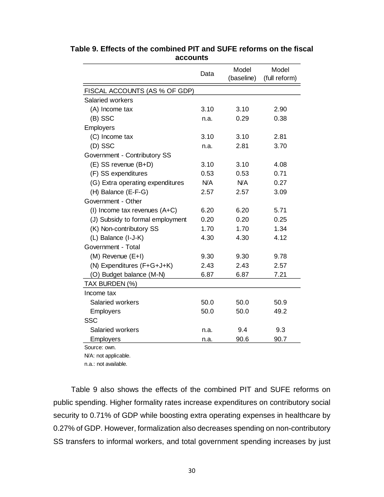|                                  | Data | Model<br>(baseline) | Model<br>(full reform) |
|----------------------------------|------|---------------------|------------------------|
| FISCAL ACCOUNTS (AS % OF GDP)    |      |                     |                        |
| Salaried workers                 |      |                     |                        |
| (A) Income tax                   | 3.10 | 3.10                | 2.90                   |
| (B) SSC                          | n.a. | 0.29                | 0.38                   |
| Employers                        |      |                     |                        |
| (C) Income tax                   | 3.10 | 3.10                | 2.81                   |
| (D) SSC                          | n.a. | 2.81                | 3.70                   |
| Government - Contributory SS     |      |                     |                        |
| (E) SS revenue (B+D)             | 3.10 | 3.10                | 4.08                   |
| (F) SS expenditures              | 0.53 | 0.53                | 0.71                   |
| (G) Extra operating expenditures | N/A  | N/A                 | 0.27                   |
| (H) Balance (E-F-G)              | 2.57 | 2.57                | 3.09                   |
| Government - Other               |      |                     |                        |
| (I) Income tax revenues $(A+C)$  | 6.20 | 6.20                | 5.71                   |
| (J) Subsidy to formal employment | 0.20 | 0.20                | 0.25                   |
| (K) Non-contributory SS          | 1.70 | 1.70                | 1.34                   |
| (L) Balance (I-J-K)              | 4.30 | 4.30                | 4.12                   |
| Government - Total               |      |                     |                        |
| (M) Revenue (E+I)                | 9.30 | 9.30                | 9.78                   |
| (N) Expenditures (F+G+J+K)       | 2.43 | 2.43                | 2.57                   |
| (O) Budget balance (M-N)         | 6.87 | 6.87                | 7.21                   |
| TAX BURDEN (%)                   |      |                     |                        |
| Income tax                       |      |                     |                        |
| Salaried workers                 | 50.0 | 50.0                | 50.9                   |
| Employers                        | 50.0 | 50.0                | 49.2                   |
| <b>SSC</b>                       |      |                     |                        |
| Salaried workers                 | n.a. | 9.4                 | 9.3                    |
| <b>Employers</b>                 | n.a. | 90.6                | 90.7                   |
| Saurea: awn                      |      |                     |                        |

**Table 9. Effects of the combined PIT and SUFE reforms on the fiscal accounts**

Source: own.

N/A: not applicable.

n.a.: not available.

Table 9 also shows the effects of the combined PIT and SUFE reforms on public spending. Higher formality rates increase expenditures on contributory social security to 0.71% of GDP while boosting extra operating expenses in healthcare by 0.27% of GDP. However, formalization also decreases spending on non-contributory SS transfers to informal workers, and total government spending increases by just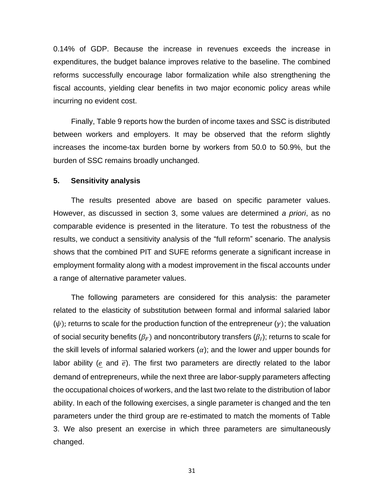0.14% of GDP. Because the increase in revenues exceeds the increase in expenditures, the budget balance improves relative to the baseline. The combined reforms successfully encourage labor formalization while also strengthening the fiscal accounts, yielding clear benefits in two major economic policy areas while incurring no evident cost.

Finally, Table 9 reports how the burden of income taxes and SSC is distributed between workers and employers. It may be observed that the reform slightly increases the income-tax burden borne by workers from 50.0 to 50.9%, but the burden of SSC remains broadly unchanged.

#### **5. Sensitivity analysis**

The results presented above are based on specific parameter values. However, as discussed in section 3, some values are determined *a priori*, as no comparable evidence is presented in the literature. To test the robustness of the results, we conduct a sensitivity analysis of the "full reform" scenario. The analysis shows that the combined PIT and SUFE reforms generate a significant increase in employment formality along with a modest improvement in the fiscal accounts under a range of alternative parameter values.

The following parameters are considered for this analysis: the parameter related to the elasticity of substitution between formal and informal salaried labor  $(\psi)$ ; returns to scale for the production function of the entrepreneur  $(\gamma)$ ; the valuation of social security benefits  $(\beta_F)$  and noncontributory transfers ( $\beta_I$ ); returns to scale for the skill levels of informal salaried workers  $(a)$ ; and the lower and upper bounds for labor ability (e and  $\bar{e}$ ). The first two parameters are directly related to the labor demand of entrepreneurs, while the next three are labor-supply parameters affecting the occupational choices of workers, and the last two relate to the distribution of labor ability. In each of the following exercises, a single parameter is changed and the ten parameters under the third group are re-estimated to match the moments of Table 3. We also present an exercise in which three parameters are simultaneously changed.

31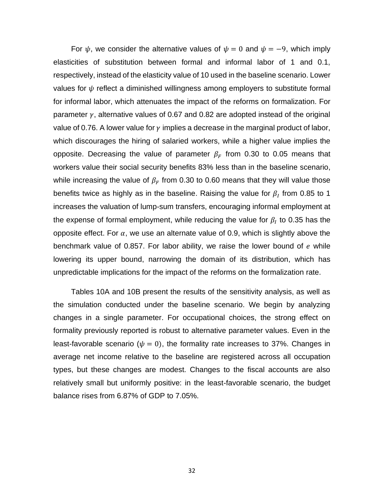For  $\psi$ , we consider the alternative values of  $\psi = 0$  and  $\psi = -9$ , which imply elasticities of substitution between formal and informal labor of 1 and 0.1, respectively, instead of the elasticity value of 10 used in the baseline scenario. Lower values for  $\psi$  reflect a diminished willingness among employers to substitute formal for informal labor, which attenuates the impact of the reforms on formalization. For parameter  $\gamma$ , alternative values of 0.67 and 0.82 are adopted instead of the original value of 0.76. A lower value for  $\gamma$  implies a decrease in the marginal product of labor, which discourages the hiring of salaried workers, while a higher value implies the opposite. Decreasing the value of parameter  $\beta_F$  from 0.30 to 0.05 means that workers value their social security benefits 83% less than in the baseline scenario, while increasing the value of  $\beta_F$  from 0.30 to 0.60 means that they will value those benefits twice as highly as in the baseline. Raising the value for  $\beta_I$  from 0.85 to 1 increases the valuation of lump-sum transfers, encouraging informal employment at the expense of formal employment, while reducing the value for  $\beta_I$  to 0.35 has the opposite effect. For  $\alpha$ , we use an alternate value of 0.9, which is slightly above the benchmark value of 0.857. For labor ability, we raise the lower bound of  $e$  while lowering its upper bound, narrowing the domain of its distribution, which has unpredictable implications for the impact of the reforms on the formalization rate.

Tables 10A and 10B present the results of the sensitivity analysis, as well as the simulation conducted under the baseline scenario. We begin by analyzing changes in a single parameter. For occupational choices, the strong effect on formality previously reported is robust to alternative parameter values. Even in the least-favorable scenario ( $\psi = 0$ ), the formality rate increases to 37%. Changes in average net income relative to the baseline are registered across all occupation types, but these changes are modest. Changes to the fiscal accounts are also relatively small but uniformly positive: in the least-favorable scenario, the budget balance rises from 6.87% of GDP to 7.05%.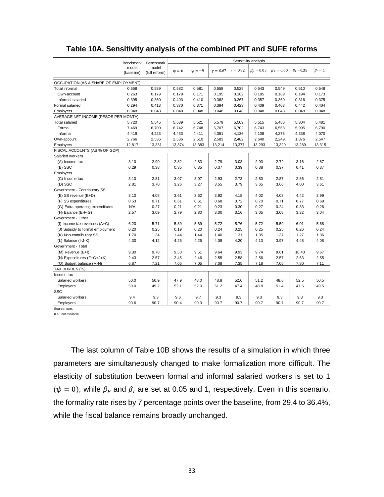|                                       | <b>Benchmark</b>    | Benchmark              | Sensitivity analysis |             |        |                                 |                  |                  |                  |             |
|---------------------------------------|---------------------|------------------------|----------------------|-------------|--------|---------------------------------|------------------|------------------|------------------|-------------|
|                                       | model<br>(baseline) | model<br>(full reform) | $\psi = 0$           | $\psi = -9$ |        | $\gamma = 0.67$ $\gamma = 0.82$ | $\beta_F = 0.05$ | $\beta_F = 0.60$ | $\beta_I = 0.35$ | $\beta_I=1$ |
| OCCUPATION (AS A SHARE OF EMPLOYMENT) |                     |                        |                      |             |        |                                 |                  |                  |                  |             |
| Total informal                        | 0.658               | 0.539                  | 0.582                | 0.581       | 0.558  | 0.529                           | 0.543            | 0.549            | 0.510            | 0.548       |
| Own-account                           | 0.263               | 0.179                  | 0.179                | 0.171       | 0.195  | 0.162                           | 0.185            | 0.189            | 0.194            | 0.173       |
| Informal salaried                     | 0.395               | 0.360                  | 0.403                | 0.410       | 0.362  | 0.367                           | 0.357            | 0.360            | 0.316            | 0.375       |
| Formal salaried                       | 0.294               | 0.413                  | 0.370                | 0.371       | 0.394  | 0.423                           | 0.409            | 0.403            | 0.442            | 0.404       |
| Employers                             | 0.048               | 0.048                  | 0.048                | 0.048       | 0.048  | 0.048                           | 0.048            | 0.048            | 0.048            | 0.048       |
| AVERAGE NET INCOME (PESOS PER MONTH)  |                     |                        |                      |             |        |                                 |                  |                  |                  |             |
| <b>Total salaried</b>                 | 5,720               | 5,545                  | 5,539                | 5,521       | 5,579  | 5,509                           | 5,515            | 5,486            | 5,304            | 5,481       |
| Formal                                | 7,469               | 6,700                  | 6,742                | 6,748       | 6,707  | 6,702                           | 6,743            | 6,568            | 5,995            | 6,790       |
| Informal                              | 4,419               | 4,223                  | 4,433                | 4,411       | 4,351  | 4,136                           | 4,108            | 4,276            | 4,338            | 4,070       |
| Own-account                           | 2,766               | 2,536                  | 2,536                | 2,510       | 2,583  | 2,482                           | 2,640            | 2,249            | 1,876            | 2,547       |
| Employers                             | 12,817              | 13,331                 | 13,374               | 13,383      | 13,214 | 13,377                          | 13,293           | 13,320           | 13,289           | 13,315      |
| FISCAL ACCOUNTS (AS % OF GDP)         |                     |                        |                      |             |        |                                 |                  |                  |                  |             |
| Salaried workers                      |                     |                        |                      |             |        |                                 |                  |                  |                  |             |
| (A) Income tax                        | 3.10                | 2.90                   | 2.82                 | 2.83        | 2.79   | 3.03                            | 2.93             | 2.72             | 3.16             | 2.87        |
| (B) SSC                               | 0.29                | 0.38                   | 0.35                 | 0.35        | 0.37   | 0.39                            | 0.38             | 0.37             | 0.41             | 0.37        |
| Employers                             |                     |                        |                      |             |        |                                 |                  |                  |                  |             |
| (C) Income tax                        | 3.10                | 2.81                   | 3.07                 | 3.07        | 2.93   | 2.73                            | 2.80             | 2.87             | 2.86             | 2.81        |
| (D) SSC                               | 2.81                | 3.70                   | 3.26                 | 3.27        | 3.55   | 3.79                            | 3.65             | 3.66             | 4.00             | 3.61        |
| Government - Contributory SS          |                     |                        |                      |             |        |                                 |                  |                  |                  |             |
| (E) SS revenue (B+D)                  | 3.10                | 4.08                   | 3.61                 | 3.62        | 3.92   | 4.18                            | 4.02             | 4.03             | 4.42             | 3.99        |
| (F) SS expenditures                   | 0.53                | 0.71                   | 0.61                 | 0.61        | 0.68   | 0.72                            | 0.70             | 0.71             | 0.77             | 0.69        |
| (G) Extra operating expenditures      | <b>N/A</b>          | 0.27                   | 0.21                 | 0.21        | 0.23   | 0.30                            | 0.27             | 0.24             | 0.33             | 0.26        |
| (H) Balance (E-F-G)                   | 2.57                | 3.09                   | 2.79                 | 2.80        | 3.00   | 3.16                            | 3.05             | 3.08             | 3.32             | 3.04        |
| Government - Other                    |                     |                        |                      |             |        |                                 |                  |                  |                  |             |
| $(I)$ Income tax revenues $(A+C)$     | 6.20                | 5.71                   | 5.89                 | 5.89        | 5.72   | 5.76                            | 5.72             | 5.59             | 6.01             | 5.68        |
| (J) Subsidy to formal employment      | 0.20                | 0.25                   | 0.19                 | 0.20        | 0.24   | 0.25                            | 0.25             | 0.25             | 0.26             | 0.24        |
| (K) Non-contributory SS               | 1.70                | 1.34                   | 1.44                 | 1.44        | 1.40   | 1.31                            | 1.35             | 1.37             | 1.27             | 1.36        |
| (L) Balance (I-J-K)                   | 4.30                | 4.12                   | 4.26                 | 4.25        | 4.08   | 4.20                            | 4.13             | 3.97             | 4.48             | 4.08        |
| Government - Total                    |                     |                        |                      |             |        |                                 |                  |                  |                  |             |
| $(M)$ Revenue $(E+I)$                 | 9.30                | 9.78                   | 9.50                 | 9.51        | 9.64   | 9.93                            | 9.74             | 9.61             | 10.43            | 9.67        |
| (N) Expenditures (F+G+J+K)            | 2.43                | 2.57                   | 2.45                 | 2.46        | 2.55   | 2.58                            | 2.56             | 2.57             | 2.63             | 2.55        |
| (O) Budget balance (M-N)              | 6.87                | 7.21                   | 7.05                 | 7.05        | 7.08   | 7.35                            | 7.18             | 7.05             | 7.80             | 7.11        |
| TAX BURDEN (%)                        |                     |                        |                      |             |        |                                 |                  |                  |                  |             |
| Income tax                            |                     |                        |                      |             |        |                                 |                  |                  |                  |             |
| Salaried workers                      | 50.0                | 50.9                   | 47.9                 | 48.0        | 48.8   | 52.6                            | 51.2             | 48.6             | 52.5             | 50.5        |
| Employers                             | 50.0                | 49.2                   | 52.1                 | 52.0        | 51.2   | 47.4                            | 48.8             | 51.4             | 47.5             | 49.5        |
| SSC                                   |                     |                        |                      |             |        |                                 |                  |                  |                  |             |
| Salaried workers                      | 9.4                 | 9.3                    | 9.6                  | 9.7         | 9.3    | 9.3                             | 9.3              | 9.3              | 9.3              | 9.3         |
| Employers                             | 90.6                | 90.7                   | 90.4                 | 90.3        | 90.7   | 90.7                            | 90.7             | 90.7             | 90.7             | 90.7        |

#### **Table 10A. Sensitivity analysis of the combined PIT and SUFE reforms**

Source: own.

n.a.: not available.

The last column of Table 10B shows the results of a simulation in which three parameters are simultaneously changed to make formalization more difficult. The elasticity of substitution between formal and informal salaried workers is set to 1  $(\psi = 0)$ , while  $\beta_F$  and  $\beta_I$  are set at 0.05 and 1, respectively. Even in this scenario, the formality rate rises by 7 percentage points over the baseline, from 29.4 to 36.4%, while the fiscal balance remains broadly unchanged.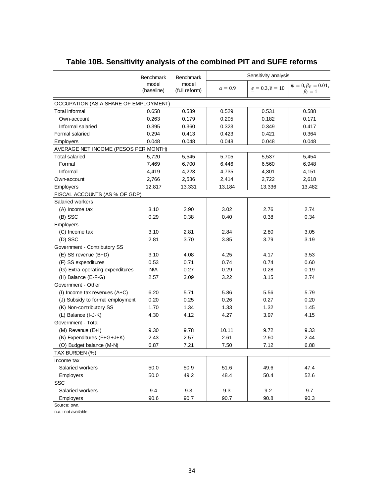|                                       | <b>Benchmark</b><br>model<br>(baseline) | Benchmark<br>model<br>(full reform) | Sensitivity analysis |                              |                                            |
|---------------------------------------|-----------------------------------------|-------------------------------------|----------------------|------------------------------|--------------------------------------------|
|                                       |                                         |                                     | $\alpha = 0.9$       | $e = 0.3, \overline{e} = 10$ | $\psi = 0, \beta_F = 0.01,$<br>$\beta_I=1$ |
| OCCUPATION (AS A SHARE OF EMPLOYMENT) |                                         |                                     |                      |                              |                                            |
| Total informal                        | 0.658                                   | 0.539                               | 0.529                | 0.531                        | 0.588                                      |
| Own-account                           | 0.263                                   | 0.179                               | 0.205                | 0.182                        | 0.171                                      |
| Informal salaried                     | 0.395                                   | 0.360                               | 0.323                | 0.349                        | 0.417                                      |
| Formal salaried                       | 0.294                                   | 0.413                               | 0.423                | 0.421                        | 0.364                                      |
| Employers                             | 0.048                                   | 0.048                               | 0.048                | 0.048                        | 0.048                                      |
| AVERAGE NET INCOME (PESOS PER MONTH)  |                                         |                                     |                      |                              |                                            |
| <b>Total salaried</b>                 | 5,720                                   | 5,545                               | 5,705                | 5,537                        | 5,454                                      |
| Formal                                | 7,469                                   | 6,700                               | 6,446                | 6,560                        | 6,948                                      |
| Informal                              | 4,419                                   | 4,223                               | 4,735                | 4,301                        | 4,151                                      |
| Own-account                           | 2,766                                   | 2,536                               | 2,414                | 2,722                        | 2,618                                      |
| <b>Employers</b>                      | 12,817                                  | 13,331                              | 13,184               | 13,336                       | 13,482                                     |
| FISCAL ACCOUNTS (AS % OF GDP)         |                                         |                                     |                      |                              |                                            |
| Salaried workers                      |                                         |                                     |                      |                              |                                            |
| (A) Income tax                        | 3.10                                    | 2.90                                | 3.02                 | 2.76                         | 2.74                                       |
| $(B)$ SSC                             | 0.29                                    | 0.38                                | 0.40                 | 0.38                         | 0.34                                       |
| <b>Employers</b>                      |                                         |                                     |                      |                              |                                            |
| (C) Income tax                        | 3.10                                    | 2.81                                | 2.84                 | 2.80                         | 3.05                                       |
| (D) SSC                               | 2.81                                    | 3.70                                | 3.85                 | 3.79                         | 3.19                                       |
| Government - Contributory SS          |                                         |                                     |                      |                              |                                            |
| (E) SS revenue (B+D)                  | 3.10                                    | 4.08                                | 4.25                 | 4.17                         | 3.53                                       |
| (F) SS expenditures                   | 0.53                                    | 0.71                                | 0.74                 | 0.74                         | 0.60                                       |
| (G) Extra operating expenditures      | N/A                                     | 0.27                                | 0.29                 | 0.28                         | 0.19                                       |
| (H) Balance (E-F-G)                   | 2.57                                    | 3.09                                | 3.22                 | 3.15                         | 2.74                                       |
| Government - Other                    |                                         |                                     |                      |                              |                                            |
| (I) Income tax revenues (A+C)         | 6.20                                    | 5.71                                | 5.86                 | 5.56                         | 5.79                                       |
| (J) Subsidy to formal employment      | 0.20                                    | 0.25                                | 0.26                 | 0.27                         | 0.20                                       |
| (K) Non-contributory SS               | 1.70                                    | 1.34                                | 1.33                 | 1.32                         | 1.45                                       |
| (L) Balance (I-J-K)                   | 4.30                                    | 4.12                                | 4.27                 | 3.97                         | 4.15                                       |
| Government - Total                    |                                         |                                     |                      |                              |                                            |
| (M) Revenue (E+I)                     | 9.30                                    | 9.78                                | 10.11                | 9.72                         | 9.33                                       |
| (N) Expenditures (F+G+J+K)            | 2.43                                    | 2.57                                | 2.61                 | 2.60                         | 2.44                                       |
| (O) Budget balance (M-N)              | 6.87                                    | 7.21                                | 7.50                 | 7.12                         | 6.88                                       |
| TAX BURDEN (%)                        |                                         |                                     |                      |                              |                                            |
| Income tax                            |                                         |                                     |                      |                              |                                            |
| Salaried workers                      | 50.0                                    | 50.9                                | 51.6                 | 49.6                         | 47.4                                       |
| Employers                             | 50.0                                    | 49.2                                | 48.4                 | 50.4                         | 52.6                                       |
| <b>SSC</b>                            |                                         |                                     |                      |                              |                                            |
| Salaried workers                      | 9.4                                     | 9.3                                 | 9.3                  | 9.2                          | 9.7                                        |
| Employers                             | 90.6                                    | 90.7                                | 90.7                 | 90.8                         | 90.3                                       |

# **Table 10B. Sensitivity analysis of the combined PIT and SUFE reforms**

Source: own.

n.a.: not available.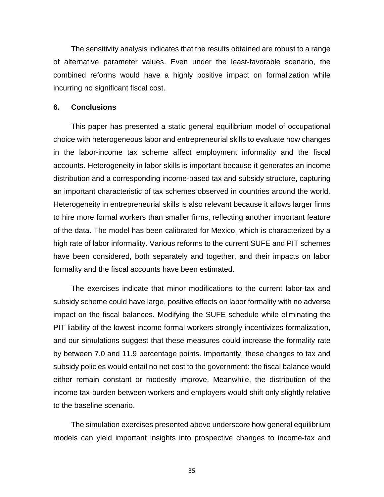The sensitivity analysis indicates that the results obtained are robust to a range of alternative parameter values. Even under the least-favorable scenario, the combined reforms would have a highly positive impact on formalization while incurring no significant fiscal cost.

## **6. Conclusions**

This paper has presented a static general equilibrium model of occupational choice with heterogeneous labor and entrepreneurial skills to evaluate how changes in the labor-income tax scheme affect employment informality and the fiscal accounts. Heterogeneity in labor skills is important because it generates an income distribution and a corresponding income-based tax and subsidy structure, capturing an important characteristic of tax schemes observed in countries around the world. Heterogeneity in entrepreneurial skills is also relevant because it allows larger firms to hire more formal workers than smaller firms, reflecting another important feature of the data. The model has been calibrated for Mexico, which is characterized by a high rate of labor informality. Various reforms to the current SUFE and PIT schemes have been considered, both separately and together, and their impacts on labor formality and the fiscal accounts have been estimated.

The exercises indicate that minor modifications to the current labor-tax and subsidy scheme could have large, positive effects on labor formality with no adverse impact on the fiscal balances. Modifying the SUFE schedule while eliminating the PIT liability of the lowest-income formal workers strongly incentivizes formalization, and our simulations suggest that these measures could increase the formality rate by between 7.0 and 11.9 percentage points. Importantly, these changes to tax and subsidy policies would entail no net cost to the government: the fiscal balance would either remain constant or modestly improve. Meanwhile, the distribution of the income tax-burden between workers and employers would shift only slightly relative to the baseline scenario.

The simulation exercises presented above underscore how general equilibrium models can yield important insights into prospective changes to income-tax and

35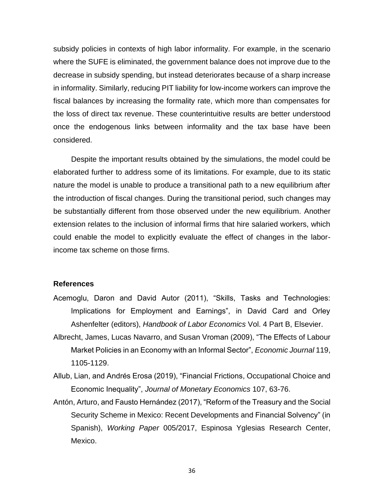subsidy policies in contexts of high labor informality. For example, in the scenario where the SUFE is eliminated, the government balance does not improve due to the decrease in subsidy spending, but instead deteriorates because of a sharp increase in informality. Similarly, reducing PIT liability for low-income workers can improve the fiscal balances by increasing the formality rate, which more than compensates for the loss of direct tax revenue. These counterintuitive results are better understood once the endogenous links between informality and the tax base have been considered.

Despite the important results obtained by the simulations, the model could be elaborated further to address some of its limitations. For example, due to its static nature the model is unable to produce a transitional path to a new equilibrium after the introduction of fiscal changes. During the transitional period, such changes may be substantially different from those observed under the new equilibrium. Another extension relates to the inclusion of informal firms that hire salaried workers, which could enable the model to explicitly evaluate the effect of changes in the laborincome tax scheme on those firms.

#### **References**

- Acemoglu, Daron and David Autor (2011), "Skills, Tasks and Technologies: Implications for Employment and Earnings", in David Card and Orley Ashenfelter (editors), *Handbook of Labor Economics* Vol. 4 Part B, Elsevier.
- Albrecht, James, Lucas Navarro, and Susan Vroman (2009), "The Effects of Labour Market Policies in an Economy with an Informal Sector", *Economic Journal* 119, 1105-1129.
- Allub, Lian, and Andrés Erosa (2019), "Financial Frictions, Occupational Choice and Economic Inequality", *Journal of Monetary Economics* 107, 63-76.
- Antón, Arturo, and Fausto Hernández (2017), "Reform of the Treasury and the Social Security Scheme in Mexico: Recent Developments and Financial Solvency" (in Spanish), *Working Paper* 005/2017, Espinosa Yglesias Research Center, Mexico.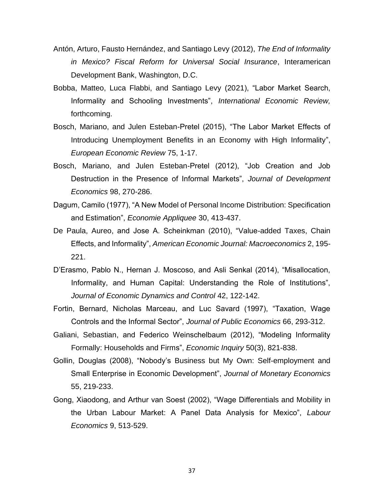- Antón, Arturo, Fausto Hernández, and Santiago Levy (2012), *The End of Informality in Mexico? Fiscal Reform for Universal Social Insurance*, Interamerican Development Bank, Washington, D.C.
- Bobba, Matteo, Luca Flabbi, and Santiago Levy (2021), "Labor Market Search, Informality and Schooling Investments", *International Economic Review,* forthcoming.
- Bosch, Mariano, and Julen Esteban-Pretel (2015), "The Labor Market Effects of Introducing Unemployment Benefits in an Economy with High Informality", *European Economic Review* 75, 1-17.
- Bosch, Mariano, and Julen Esteban-Pretel (2012), "Job Creation and Job Destruction in the Presence of Informal Markets", *Journal of Development Economics* 98, 270-286.
- Dagum, Camilo (1977), "A New Model of Personal Income Distribution: Specification and Estimation", *Economie Appliquee* 30, 413-437.
- De Paula, Aureo, and Jose A. Scheinkman (2010), "Value-added Taxes, Chain Effects, and Informality", *American Economic Journal: Macroeconomics* 2, 195- 221.
- D'Erasmo, Pablo N., Hernan J. Moscoso, and Asli Senkal (2014), "Misallocation, Informality, and Human Capital: Understanding the Role of Institutions", *Journal of Economic Dynamics and Control* 42, 122-142.
- Fortin, Bernard, Nicholas Marceau, and Luc Savard (1997), "Taxation, Wage Controls and the Informal Sector", *Journal of Public Economics* 66, 293-312.
- Galiani, Sebastian, and Federico Weinschelbaum (2012), "Modeling Informality Formally: Households and Firms", *Economic Inquiry* 50(3), 821-838.
- Gollin, Douglas (2008), "Nobody's Business but My Own: Self-employment and Small Enterprise in Economic Development", *Journal of Monetary Economics* 55, 219-233.
- Gong, Xiaodong, and Arthur van Soest (2002), "Wage Differentials and Mobility in the Urban Labour Market: A Panel Data Analysis for Mexico", *Labour Economics* 9, 513-529.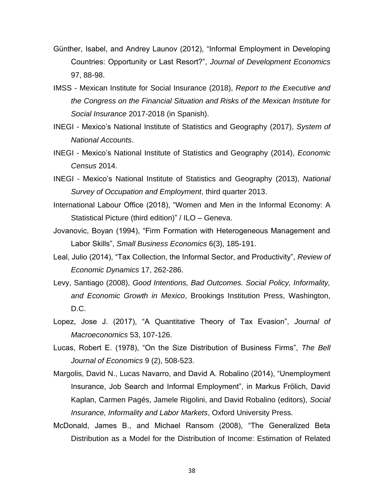- Günther, Isabel, and Andrey Launov (2012), "Informal Employment in Developing Countries: Opportunity or Last Resort?", *Journal of Development Economics* 97, 88-98.
- IMSS Mexican Institute for Social Insurance (2018), *Report to the Executive and the Congress on the Financial Situation and Risks of the Mexican Institute for Social Insurance* 2017-2018 (in Spanish).
- INEGI Mexico's National Institute of Statistics and Geography (2017), *System of National Accounts*.
- INEGI Mexico's National Institute of Statistics and Geography (2014), *Economic Census* 2014.
- INEGI Mexico's National Institute of Statistics and Geography (2013), *National Survey of Occupation and Employment*, third quarter 2013.
- International Labour Office (2018), "Women and Men in the Informal Economy: A Statistical Picture (third edition)" / ILO – Geneva.
- Jovanovic, Boyan (1994), "Firm Formation with Heterogeneous Management and Labor Skills", *Small Business Economics* 6(3), 185-191.
- Leal, Julio (2014), "Tax Collection, the Informal Sector, and Productivity", *Review of Economic Dynamics* 17, 262-286.
- Levy, Santiago (2008), *Good Intentions, Bad Outcomes. Social Policy, Informality, and Economic Growth in Mexico*, Brookings Institution Press, Washington, D.C.
- Lopez, Jose J. (2017), "A Quantitative Theory of Tax Evasion", *Journal of Macroeconomics* 53, 107-126.
- Lucas, Robert E. (1978), "On the Size Distribution of Business Firms", *The Bell Journal of Economics* 9 (2), 508-523.
- Margolis, David N., Lucas Navarro, and David A. Robalino (2014), "Unemployment Insurance, Job Search and Informal Employment", in Markus Frölich, David Kaplan, Carmen Pagés, Jamele Rigolini, and David Robalino (editors), *Social Insurance, Informality and Labor Markets*, Oxford University Press.
- McDonald, James B., and Michael Ransom (2008), "The Generalized Beta Distribution as a Model for the Distribution of Income: Estimation of Related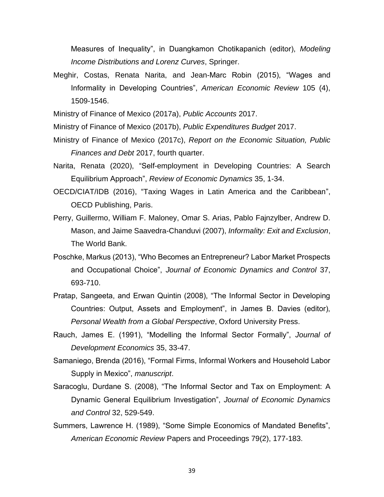Measures of Inequality", in Duangkamon Chotikapanich (editor), *Modeling Income Distributions and Lorenz Curves*, Springer.

Meghir, Costas, Renata Narita, and Jean-Marc Robin (2015), "Wages and Informality in Developing Countries", *American Economic Review* 105 (4), 1509-1546.

Ministry of Finance of Mexico (2017a), *Public Accounts* 2017.

Ministry of Finance of Mexico (2017b), *Public Expenditures Budget* 2017.

- Ministry of Finance of Mexico (2017c), *Report on the Economic Situation, Public Finances and Debt* 2017, fourth quarter.
- Narita, Renata (2020), "Self-employment in Developing Countries: A Search Equilibrium Approach", *Review of Economic Dynamics* 35, 1-34.
- OECD/CIAT/IDB (2016), "Taxing Wages in Latin America and the Caribbean", OECD Publishing, Paris.
- Perry, Guillermo, William F. Maloney, Omar S. Arias, Pablo Fajnzylber, Andrew D. Mason, and Jaime Saavedra-Chanduvi (2007), *Informality: Exit and Exclusion*, The World Bank.
- Poschke, Markus (2013), "Who Becomes an Entrepreneur? Labor Market Prospects and Occupational Choice", *Journal of Economic Dynamics and Control* 37, 693-710.
- Pratap, Sangeeta, and Erwan Quintin (2008), "The Informal Sector in Developing Countries: Output, Assets and Employment", in James B. Davies (editor), *Personal Wealth from a Global Perspective*, Oxford University Press.
- Rauch, James E. (1991), "Modelling the Informal Sector Formally", *Journal of Development Economics* 35, 33-47.
- Samaniego, Brenda (2016), "Formal Firms, Informal Workers and Household Labor Supply in Mexico", *manuscript*.
- Saracoglu, Durdane S. (2008), "The Informal Sector and Tax on Employment: A Dynamic General Equilibrium Investigation", *Journal of Economic Dynamics and Control* 32, 529-549.
- Summers, Lawrence H. (1989), "Some Simple Economics of Mandated Benefits", *American Economic Review* Papers and Proceedings 79(2), 177-183.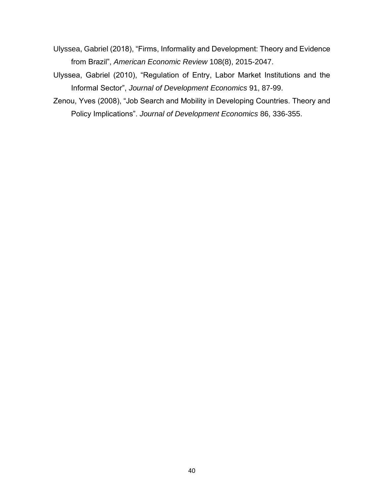- Ulyssea, Gabriel (2018), "Firms, Informality and Development: Theory and Evidence from Brazil", *American Economic Review* 108(8), 2015-2047.
- Ulyssea, Gabriel (2010), "Regulation of Entry, Labor Market Institutions and the Informal Sector", *Journal of Development Economics* 91, 87-99.
- Zenou, Yves (2008), "Job Search and Mobility in Developing Countries. Theory and Policy Implications". *Journal of Development Economics* 86, 336-355.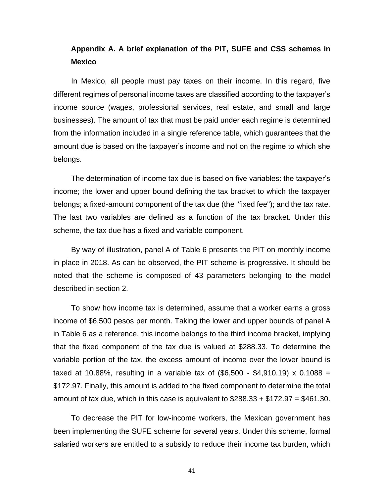# **Appendix A. A brief explanation of the PIT, SUFE and CSS schemes in Mexico**

In Mexico, all people must pay taxes on their income. In this regard, five different regimes of personal income taxes are classified according to the taxpayer's income source (wages, professional services, real estate, and small and large businesses). The amount of tax that must be paid under each regime is determined from the information included in a single reference table, which guarantees that the amount due is based on the taxpayer's income and not on the regime to which she belongs.

The determination of income tax due is based on five variables: the taxpayer's income; the lower and upper bound defining the tax bracket to which the taxpayer belongs; a fixed-amount component of the tax due (the "fixed fee"); and the tax rate. The last two variables are defined as a function of the tax bracket. Under this scheme, the tax due has a fixed and variable component.

By way of illustration, panel A of Table 6 presents the PIT on monthly income in place in 2018. As can be observed, the PIT scheme is progressive. It should be noted that the scheme is composed of 43 parameters belonging to the model described in section 2.

To show how income tax is determined, assume that a worker earns a gross income of \$6,500 pesos per month. Taking the lower and upper bounds of panel A in Table 6 as a reference, this income belongs to the third income bracket, implying that the fixed component of the tax due is valued at \$288.33. To determine the variable portion of the tax, the excess amount of income over the lower bound is taxed at 10.88%, resulting in a variable tax of  $(\$6,500 - \$4,910.19) \times 0.1088 =$ \$172.97. Finally, this amount is added to the fixed component to determine the total amount of tax due, which in this case is equivalent to  $$288.33 + $172.97 = $461.30$ .

To decrease the PIT for low-income workers, the Mexican government has been implementing the SUFE scheme for several years. Under this scheme, formal salaried workers are entitled to a subsidy to reduce their income tax burden, which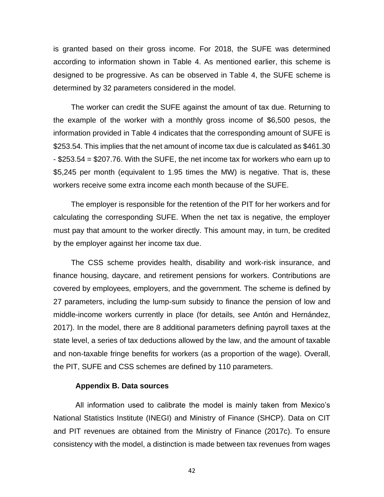is granted based on their gross income. For 2018, the SUFE was determined according to information shown in Table 4. As mentioned earlier, this scheme is designed to be progressive. As can be observed in Table 4, the SUFE scheme is determined by 32 parameters considered in the model.

The worker can credit the SUFE against the amount of tax due. Returning to the example of the worker with a monthly gross income of \$6,500 pesos, the information provided in Table 4 indicates that the corresponding amount of SUFE is \$253.54. This implies that the net amount of income tax due is calculated as \$461.30 - \$253.54 = \$207.76. With the SUFE, the net income tax for workers who earn up to \$5,245 per month (equivalent to 1.95 times the MW) is negative. That is, these workers receive some extra income each month because of the SUFE.

The employer is responsible for the retention of the PIT for her workers and for calculating the corresponding SUFE. When the net tax is negative, the employer must pay that amount to the worker directly. This amount may, in turn, be credited by the employer against her income tax due.

The CSS scheme provides health, disability and work-risk insurance, and finance housing, daycare, and retirement pensions for workers. Contributions are covered by employees, employers, and the government. The scheme is defined by 27 parameters, including the lump-sum subsidy to finance the pension of low and middle-income workers currently in place (for details, see Antón and Hernández, 2017). In the model, there are 8 additional parameters defining payroll taxes at the state level, a series of tax deductions allowed by the law, and the amount of taxable and non-taxable fringe benefits for workers (as a proportion of the wage). Overall, the PIT, SUFE and CSS schemes are defined by 110 parameters.

#### **Appendix B. Data sources**

All information used to calibrate the model is mainly taken from Mexico's National Statistics Institute (INEGI) and Ministry of Finance (SHCP). Data on CIT and PIT revenues are obtained from the Ministry of Finance (2017c). To ensure consistency with the model, a distinction is made between tax revenues from wages

42